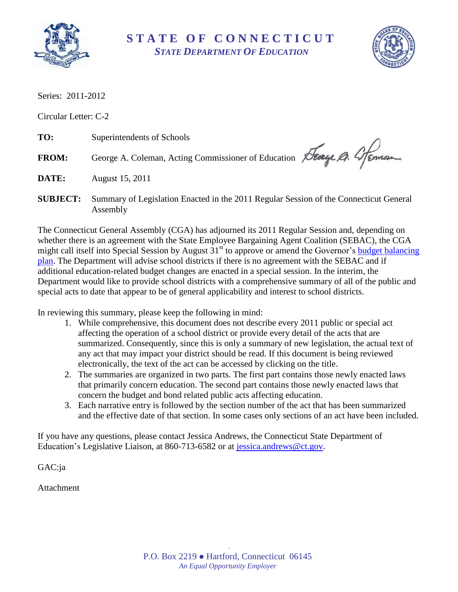

**S T A T E O F C O N N E C T I C U T** *STATE DEPARTMENT OF EDUCATION*



Series: 2011-2012

Circular Letter: C-2

**TO:** Superintendents of Schools

**DATE:** August 15, 2011

FROM: George A. Coleman, Acting Commissioner of Education Seary Q. 4 Feman

**SUBJECT:** Summary of Legislation Enacted in the 2011 Regular Session of the Connecticut General Assembly

The Connecticut General Assembly (CGA) has adjourned its 2011 Regular Session and, depending on whether there is an agreement with the State Employee Bargaining Agent Coalition (SEBAC), the CGA might call itself into Special Session by August  $31<sup>st</sup>$  to approve or amend the Governor's budget balancing [plan.](http://www.ct.gov/opm/lib/opm/budget/2012_midterm_budget/budget_balancing_plan_july_15.pdf) The Department will advise school districts if there is no agreement with the SEBAC and if additional education-related budget changes are enacted in a special session. In the interim, the Department would like to provide school districts with a comprehensive summary of all of the public and special acts to date that appear to be of general applicability and interest to school districts.

In reviewing this summary, please keep the following in mind:

- 1. While comprehensive, this document does not describe every 2011 public or special act affecting the operation of a school district or provide every detail of the acts that are summarized. Consequently, since this is only a summary of new legislation, the actual text of any act that may impact your district should be read. If this document is being reviewed electronically, the text of the act can be accessed by clicking on the title.
- 2. The summaries are organized in two parts. The first part contains those newly enacted laws that primarily concern education. The second part contains those newly enacted laws that concern the budget and bond related public acts affecting education.
- 3. Each narrative entry is followed by the section number of the act that has been summarized and the effective date of that section. In some cases only sections of an act have been included.

If you have any questions, please contact Jessica Andrews, the Connecticut State Department of Education's Legislative Liaison, at 860-713-6582 or at [jessica.andrews@ct.gov.](mailto:jessica.andrews@ct.gov)

GAC:ja

Attachment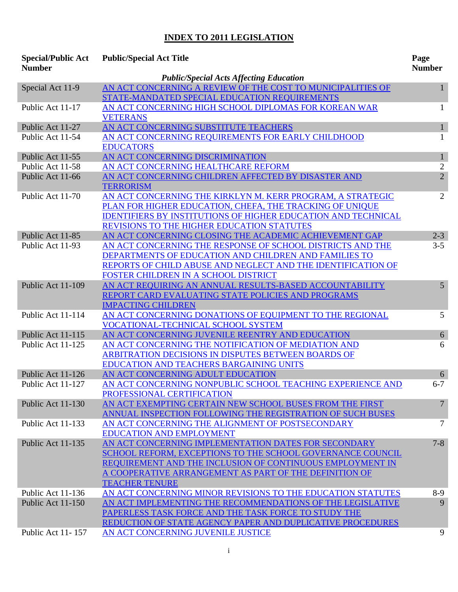## **INDEX TO 2011 LEGISLATION**

| <b>Special/Public Act</b><br><b>Number</b>     | <b>Public/Special Act Title</b>                                         | Page<br><b>Number</b> |  |
|------------------------------------------------|-------------------------------------------------------------------------|-----------------------|--|
| <b>Public/Special Acts Affecting Education</b> |                                                                         |                       |  |
| Special Act 11-9                               | AN ACT CONCERNING A REVIEW OF THE COST TO MUNICIPALITIES OF             | 1                     |  |
|                                                | STATE-MANDATED SPECIAL EDUCATION REQUIREMENTS                           |                       |  |
| Public Act 11-17                               | AN ACT CONCERNING HIGH SCHOOL DIPLOMAS FOR KOREAN WAR                   | 1                     |  |
|                                                | <b>VETERANS</b>                                                         |                       |  |
| Public Act 11-27                               | AN ACT CONCERNING SUBSTITUTE TEACHERS                                   | $\mathbf{1}$          |  |
| Public Act 11-54                               | AN ACT CONCERNING REQUIREMENTS FOR EARLY CHILDHOOD                      | 1                     |  |
|                                                | <b>EDUCATORS</b>                                                        |                       |  |
| Public Act 11-55                               | AN ACT CONCERNING DISCRIMINATION                                        | $\mathbf{1}$          |  |
| Public Act 11-58                               | AN ACT CONCERNING HEALTHCARE REFORM                                     | $\overline{2}$        |  |
| Public Act 11-66                               | AN ACT CONCERNING CHILDREN AFFECTED BY DISASTER AND<br><b>TERRORISM</b> | $\overline{2}$        |  |
| Public Act 11-70                               | AN ACT CONCERNING THE KIRKLYN M. KERR PROGRAM, A STRATEGIC              | 2                     |  |
|                                                | PLAN FOR HIGHER EDUCATION, CHEFA, THE TRACKING OF UNIQUE                |                       |  |
|                                                | <b>IDENTIFIERS BY INSTITUTIONS OF HIGHER EDUCATION AND TECHNICAL</b>    |                       |  |
|                                                | REVISIONS TO THE HIGHER EDUCATION STATUTES                              |                       |  |
| Public Act 11-85                               | AN ACT CONCERNING CLOSING THE ACADEMIC ACHIEVEMENT GAP                  | $2 - 3$               |  |
| Public Act 11-93                               | AN ACT CONCERNING THE RESPONSE OF SCHOOL DISTRICTS AND THE              | $3 - 5$               |  |
|                                                | DEPARTMENTS OF EDUCATION AND CHILDREN AND FAMILIES TO                   |                       |  |
|                                                | REPORTS OF CHILD ABUSE AND NEGLECT AND THE IDENTIFICATION OF            |                       |  |
|                                                | FOSTER CHILDREN IN A SCHOOL DISTRICT                                    |                       |  |
| Public Act 11-109                              | AN ACT REQUIRING AN ANNUAL RESULTS-BASED ACCOUNTABILITY                 | 5                     |  |
|                                                | REPORT CARD EVALUATING STATE POLICIES AND PROGRAMS                      |                       |  |
|                                                | <b>IMPACTING CHILDREN</b>                                               |                       |  |
| Public Act 11-114                              | AN ACT CONCERNING DONATIONS OF EQUIPMENT TO THE REGIONAL                | 5                     |  |
|                                                | <b>VOCATIONAL-TECHNICAL SCHOOL SYSTEM</b>                               |                       |  |
| Public Act 11-115                              | AN ACT CONCERNING JUVENILE REENTRY AND EDUCATION                        | 6                     |  |
| Public Act 11-125                              | AN ACT CONCERNING THE NOTIFICATION OF MEDIATION AND                     | 6                     |  |
|                                                | ARBITRATION DECISIONS IN DISPUTES BETWEEN BOARDS OF                     |                       |  |
|                                                | EDUCATION AND TEACHERS BARGAINING UNITS                                 |                       |  |
| Public Act 11-126                              | AN ACT CONCERNING ADULT EDUCATION                                       | 6                     |  |
| Public Act 11-127                              | AN ACT CONCERNING NONPUBLIC SCHOOL TEACHING EXPERIENCE AND              | $6 - 7$               |  |
|                                                | PROFESSIONAL CERTIFICATION                                              |                       |  |
| Public Act 11-130                              | AN ACT EXEMPTING CERTAIN NEW SCHOOL BUSES FROM THE FIRST                | 7                     |  |
|                                                | ANNUAL INSPECTION FOLLOWING THE REGISTRATION OF SUCH BUSES              |                       |  |
| Public Act 11-133                              | AN ACT CONCERNING THE ALIGNMENT OF POSTSECONDARY                        | 7                     |  |
|                                                | <b>EDUCATION AND EMPLOYMENT</b>                                         |                       |  |
| Public Act 11-135                              | AN ACT CONCERNING IMPLEMENTATION DATES FOR SECONDARY                    | $7 - 8$               |  |
|                                                | SCHOOL REFORM, EXCEPTIONS TO THE SCHOOL GOVERNANCE COUNCIL              |                       |  |
|                                                | REQUIREMENT AND THE INCLUSION OF CONTINUOUS EMPLOYMENT IN               |                       |  |
|                                                | A COOPERATIVE ARRANGEMENT AS PART OF THE DEFINITION OF                  |                       |  |
|                                                | <b>TEACHER TENURE</b>                                                   |                       |  |
| Public Act 11-136                              | AN ACT CONCERNING MINOR REVISIONS TO THE EDUCATION STATUTES             | 8-9                   |  |
| Public Act 11-150                              | AN ACT IMPLEMENTING THE RECOMMENDATIONS OF THE LEGISLATIVE              | 9                     |  |
|                                                | PAPERLESS TASK FORCE AND THE TASK FORCE TO STUDY THE                    |                       |  |
|                                                | REDUCTION OF STATE AGENCY PAPER AND DUPLICATIVE PROCEDURES              |                       |  |
| Public Act 11-157                              | AN ACT CONCERNING JUVENILE JUSTICE                                      | 9                     |  |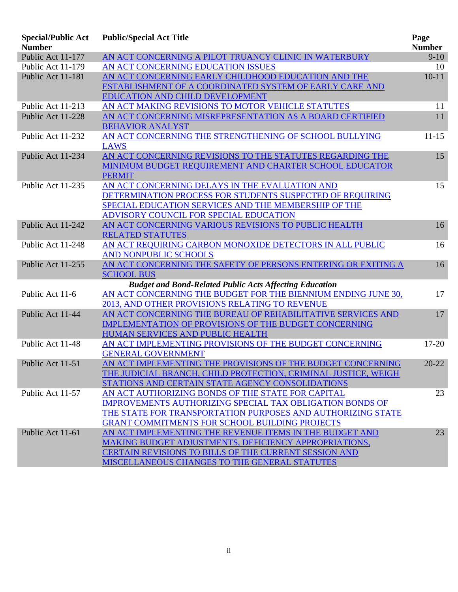| <b>Special/Public Act</b><br><b>Number</b> | <b>Public/Special Act Title</b>                                 | Page<br><b>Number</b> |
|--------------------------------------------|-----------------------------------------------------------------|-----------------------|
| Public Act 11-177                          | AN ACT CONCERNING A PILOT TRUANCY CLINIC IN WATERBURY           | $9-10$                |
| Public Act 11-179                          | AN ACT CONCERNING EDUCATION ISSUES                              | 10                    |
| Public Act 11-181                          | AN ACT CONCERNING EARLY CHILDHOOD EDUCATION AND THE             | $10 - 11$             |
|                                            | ESTABLISHMENT OF A COORDINATED SYSTEM OF EARLY CARE AND         |                       |
|                                            | <b>EDUCATION AND CHILD DEVELOPMENT</b>                          |                       |
| Public Act 11-213                          | AN ACT MAKING REVISIONS TO MOTOR VEHICLE STATUTES               | 11                    |
| Public Act 11-228                          | AN ACT CONCERNING MISREPRESENTATION AS A BOARD CERTIFIED        | 11                    |
|                                            | <b>BEHAVIOR ANALYST</b>                                         |                       |
| Public Act 11-232                          | AN ACT CONCERNING THE STRENGTHENING OF SCHOOL BULLYING          | $11 - 15$             |
|                                            | <b>LAWS</b>                                                     |                       |
| Public Act 11-234                          | AN ACT CONCERNING REVISIONS TO THE STATUTES REGARDING THE       | 15                    |
|                                            | MINIMUM BUDGET REQUIREMENT AND CHARTER SCHOOL EDUCATOR          |                       |
|                                            | <b>PERMIT</b>                                                   |                       |
| Public Act 11-235                          | AN ACT CONCERNING DELAYS IN THE EVALUATION AND                  | 15                    |
|                                            | DETERMINATION PROCESS FOR STUDENTS SUSPECTED OF REQUIRING       |                       |
|                                            | SPECIAL EDUCATION SERVICES AND THE MEMBERSHIP OF THE            |                       |
|                                            | ADVISORY COUNCIL FOR SPECIAL EDUCATION                          |                       |
| Public Act 11-242                          | AN ACT CONCERNING VARIOUS REVISIONS TO PUBLIC HEALTH            | 16                    |
|                                            | <b>RELATED STATUTES</b>                                         |                       |
| Public Act 11-248                          | AN ACT REQUIRING CARBON MONOXIDE DETECTORS IN ALL PUBLIC        | 16                    |
|                                            | <b>AND NONPUBLIC SCHOOLS</b>                                    |                       |
| Public Act 11-255                          | AN ACT CONCERNING THE SAFETY OF PERSONS ENTERING OR EXITING A   | 16                    |
|                                            | <b>SCHOOL BUS</b>                                               |                       |
|                                            | <b>Budget and Bond-Related Public Acts Affecting Education</b>  |                       |
| Public Act 11-6                            | AN ACT CONCERNING THE BUDGET FOR THE BIENNIUM ENDING JUNE 30,   | 17                    |
|                                            | 2013, AND OTHER PROVISIONS RELATING TO REVENUE                  |                       |
| Public Act 11-44                           | AN ACT CONCERNING THE BUREAU OF REHABILITATIVE SERVICES AND     | 17                    |
|                                            | <b>IMPLEMENTATION OF PROVISIONS OF THE BUDGET CONCERNING</b>    |                       |
|                                            | HUMAN SERVICES AND PUBLIC HEALTH                                |                       |
| Public Act 11-48                           | AN ACT IMPLEMENTING PROVISIONS OF THE BUDGET CONCERNING         | $17 - 20$             |
|                                            | <b>GENERAL GOVERNMENT</b>                                       |                       |
| Public Act 11-51                           | AN ACT IMPLEMENTING THE PROVISIONS OF THE BUDGET CONCERNING     | $20 - 22$             |
|                                            | THE JUDICIAL BRANCH, CHILD PROTECTION, CRIMINAL JUSTICE, WEIGH  |                       |
|                                            | STATIONS AND CERTAIN STATE AGENCY CONSOLIDATIONS                |                       |
| Public Act 11-57                           | AN ACT AUTHORIZING BONDS OF THE STATE FOR CAPITAL               | 23                    |
|                                            | <b>IMPROVEMENTS AUTHORIZING SPECIAL TAX OBLIGATION BONDS OF</b> |                       |
|                                            | THE STATE FOR TRANSPORTATION PURPOSES AND AUTHORIZING STATE     |                       |
|                                            | <b>GRANT COMMITMENTS FOR SCHOOL BUILDING PROJECTS</b>           |                       |
| Public Act 11-61                           | AN ACT IMPLEMENTING THE REVENUE ITEMS IN THE BUDGET AND         | 23                    |
|                                            | MAKING BUDGET ADJUSTMENTS, DEFICIENCY APPROPRIATIONS,           |                       |
|                                            | CERTAIN REVISIONS TO BILLS OF THE CURRENT SESSION AND           |                       |
|                                            | MISCELLANEOUS CHANGES TO THE GENERAL STATUTES                   |                       |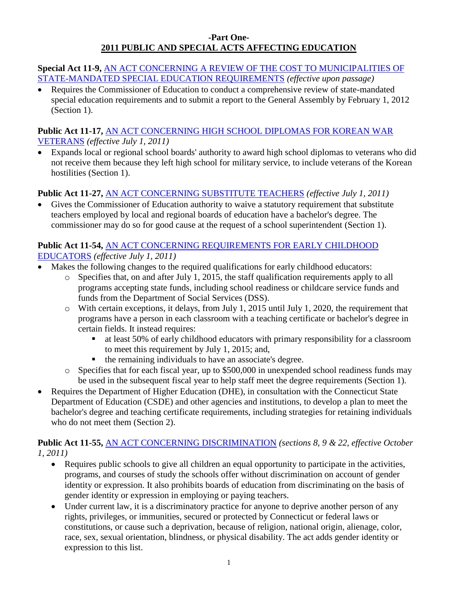#### **-Part One-2011 PUBLIC AND SPECIAL ACTS AFFECTING EDUCATION**

**Special Act 11-9,** [AN ACT CONCERNING A REVIEW OF THE COST TO MUNICIPALITIES OF](http://www.cga.ct.gov/2011/ACT/sa/pdf/2011SA-00009-R00HB-06103-SA.pdf)  [STATE-MANDATED SPECIAL EDUCATION REQUIREMENTS](http://www.cga.ct.gov/2011/ACT/sa/pdf/2011SA-00009-R00HB-06103-SA.pdf) *(effective upon passage)*

 Requires the Commissioner of Education to conduct a comprehensive review of state-mandated special education requirements and to submit a report to the General Assembly by February 1, 2012 (Section 1).

## **Public Act 11-17,** [AN ACT CONCERNING HIGH SCHOOL DIPLOMAS FOR KOREAN](http://www.cga.ct.gov/2011/ACT/Pa/pdf/2011PA-00017-R00HB-06319-PA.pdf) WAR [VETERANS](http://www.cga.ct.gov/2011/ACT/Pa/pdf/2011PA-00017-R00HB-06319-PA.pdf) *(effective July 1, 2011)*

 Expands local or regional school boards' authority to award high school diplomas to veterans who did not receive them because they left high school for military service, to include veterans of the Korean hostilities (Section 1).

# **Public Act 11-27,** [AN ACT CONCERNING SUBSTITUTE TEACHERS](http://www.cga.ct.gov/2011/ACT/Pa/pdf/2011PA-00027-R00SB-00933-PA.pdf) *(effective July 1, 2011)*

 Gives the Commissioner of Education authority to waive a statutory requirement that substitute teachers employed by local and regional boards of education have a bachelor's degree. The commissioner may do so for good cause at the request of a school superintendent (Section 1).

## **Public Act 11-54,** [AN ACT CONCERNING REQUIREMENTS FOR EARLY CHILDHOOD](http://www.cga.ct.gov/2011/ACT/Pa/pdf/2011PA-00054-R00SB-00927-PA.pdf)  [EDUCATORS](http://www.cga.ct.gov/2011/ACT/Pa/pdf/2011PA-00054-R00SB-00927-PA.pdf) *(effective July 1, 2011)*

- Makes the following changes to the required qualifications for early childhood educators:
	- o Specifies that, on and after July 1, 2015, the staff qualification requirements apply to all programs accepting state funds, including school readiness or childcare service funds and funds from the Department of Social Services (DSS).
	- o With certain exceptions, it delays, from July 1, 2015 until July 1, 2020, the requirement that programs have a person in each classroom with a teaching certificate or bachelor's degree in certain fields. It instead requires:
		- at least 50% of early childhood educators with primary responsibility for a classroom to meet this requirement by July 1, 2015; and,
		- $\blacksquare$  the remaining individuals to have an associate's degree.
	- o Specifies that for each fiscal year, up to \$500,000 in unexpended school readiness funds may be used in the subsequent fiscal year to help staff meet the degree requirements (Section 1).
- Requires the Department of Higher Education (DHE), in consultation with the Connecticut State Department of Education (CSDE) and other agencies and institutions, to develop a plan to meet the bachelor's degree and teaching certificate requirements, including strategies for retaining individuals who do not meet them (Section 2).

**Public Act 11-55,** [AN ACT CONCERNING DISCRIMINATION](http://www.cga.ct.gov/2011/ACT/Pa/pdf/2011PA-00055-R00HB-06599-PA.pdf) *(sections 8, 9 & 22, effective October 1, 2011)*

- Requires public schools to give all children an equal opportunity to participate in the activities, programs, and courses of study the schools offer without discrimination on account of gender identity or expression. It also prohibits boards of education from discriminating on the basis of gender identity or expression in employing or paying teachers.
- Under current law, it is a discriminatory practice for anyone to deprive another person of any rights, privileges, or immunities, secured or protected by Connecticut or federal laws or constitutions, or cause such a deprivation, because of religion, national origin, alienage, color, race, sex, sexual orientation, blindness, or physical disability. The act adds gender identity or expression to this list.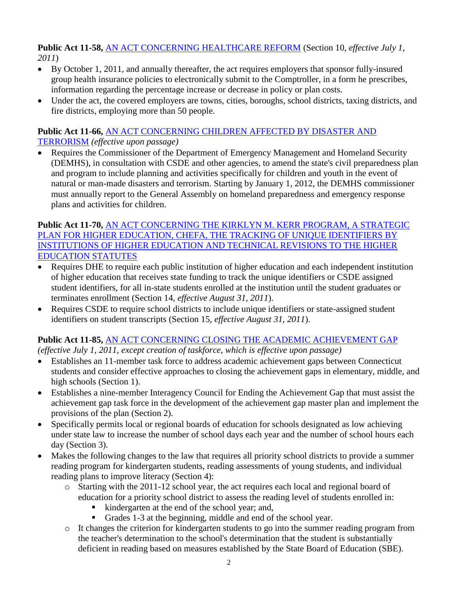**Public Act 11-58,** [AN ACT CONCERNING HEALTHCARE REFORM](http://www.cga.ct.gov/2011/ACT/Pa/pdf/2011PA-00058-R00HB-06308-PA.pdf) (Section 10, *effective July 1, 2011*)

- By October 1, 2011, and annually thereafter, the act requires employers that sponsor fully-insured group health insurance policies to electronically submit to the Comptroller, in a form he prescribes, information regarding the percentage increase or decrease in policy or plan costs.
- Under the act, the covered employers are towns, cities, boroughs, school districts, taxing districts, and fire districts, employing more than 50 people.

## **Public Act 11-66,** AN ACT [CONCERNING CHILDREN AFFECTED BY DISASTER AND](http://www.cga.ct.gov/2011/ACT/Pa/pdf/2011PA-00066-R00SB-00983-PA.pdf)  [TERRORISM](http://www.cga.ct.gov/2011/ACT/Pa/pdf/2011PA-00066-R00SB-00983-PA.pdf) *(effective upon passage)*

 Requires the Commissioner of the Department of Emergency Management and Homeland Security (DEMHS), in consultation with CSDE and other agencies, to amend the state's civil preparedness plan and program to include planning and activities specifically for children and youth in the event of natural or man-made disasters and terrorism. Starting by January 1, 2012, the DEMHS commissioner must annually report to the General Assembly on homeland preparedness and emergency response plans and activities for children.

### **Public Act 11-70,** [AN ACT CONCERNING THE KIRKLYN M. KERR PROGRAM, A STRATEGIC](http://www.cga.ct.gov/2011/ACT/Pa/pdf/2011PA-00070-R00SB-00858-PA.pdf)  [PLAN FOR HIGHER EDUCATION, CHEFA, THE TRACKING OF UNIQUE IDENTIFIERS BY](http://www.cga.ct.gov/2011/ACT/Pa/pdf/2011PA-00070-R00SB-00858-PA.pdf)  [INSTITUTIONS OF HIGHER EDUCATION AND TECHNICAL REVISIONS TO THE HIGHER](http://www.cga.ct.gov/2011/ACT/Pa/pdf/2011PA-00070-R00SB-00858-PA.pdf)  [EDUCATION STATUTES](http://www.cga.ct.gov/2011/ACT/Pa/pdf/2011PA-00070-R00SB-00858-PA.pdf)

- Requires DHE to require each public institution of higher education and each independent institution of higher education that receives state funding to track the unique identifiers or CSDE assigned student identifiers, for all in-state students enrolled at the institution until the student graduates or terminates enrollment (Section 14, *effective August 31, 2011*).
- Requires CSDE to require school districts to include unique identifiers or state-assigned student identifiers on student transcripts (Section 15, *effective August 31, 2011*).

### **Public Act 11-85,** [AN ACT CONCERNING CLOSING THE ACADEMIC ACHIEVEMENT GAP](http://www.cga.ct.gov/2011/ACT/Pa/pdf/2011PA-00085-R00SB-00929-PA.pdf) *(effective July 1, 2011, except creation of taskforce, which is effective upon passage)*

- Establishes an 11-member task force to address academic achievement gaps between Connecticut students and consider effective approaches to closing the achievement gaps in elementary, middle, and high schools (Section 1).
- Establishes a nine-member Interagency Council for Ending the Achievement Gap that must assist the achievement gap task force in the development of the achievement gap master plan and implement the provisions of the plan (Section 2).
- Specifically permits local or regional boards of education for schools designated as low achieving under state law to increase the number of school days each year and the number of school hours each day (Section 3).
- Makes the following changes to the law that requires all priority school districts to provide a summer reading program for kindergarten students, reading assessments of young students, and individual reading plans to improve literacy (Section 4):
	- o Starting with the 2011-12 school year, the act requires each local and regional board of education for a priority school district to assess the reading level of students enrolled in:
		- kindergarten at the end of the school year; and,
		- Grades 1-3 at the beginning, middle and end of the school year.
	- o It changes the criterion for kindergarten students to go into the summer reading program from the teacher's determination to the school's determination that the student is substantially deficient in reading based on measures established by the State Board of Education (SBE).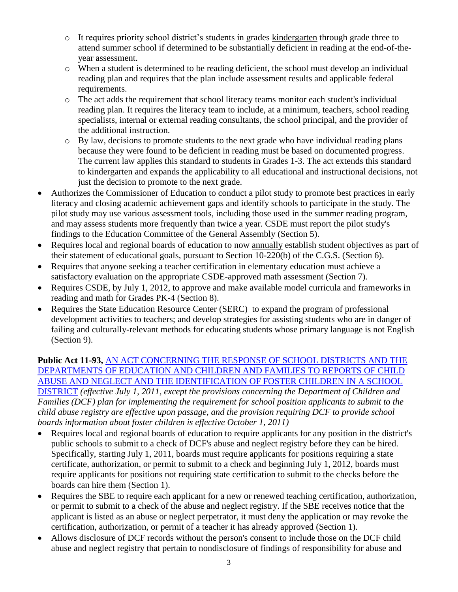- o It requires priority school district's students in grades kindergarten through grade three to attend summer school if determined to be substantially deficient in reading at the end-of-theyear assessment.
- o When a student is determined to be reading deficient, the school must develop an individual reading plan and requires that the plan include assessment results and applicable federal requirements.
- o The act adds the requirement that school literacy teams monitor each student's individual reading plan. It requires the literacy team to include, at a minimum, teachers, school reading specialists, internal or external reading consultants, the school principal, and the provider of the additional instruction.
- o By law, decisions to promote students to the next grade who have individual reading plans because they were found to be deficient in reading must be based on documented progress. The current law applies this standard to students in Grades 1-3. The act extends this standard to kindergarten and expands the applicability to all educational and instructional decisions, not just the decision to promote to the next grade.
- Authorizes the Commissioner of Education to conduct a pilot study to promote best practices in early literacy and closing academic achievement gaps and identify schools to participate in the study. The pilot study may use various assessment tools, including those used in the summer reading program, and may assess students more frequently than twice a year. CSDE must report the pilot study's findings to the Education Committee of the General Assembly (Section 5).
- Requires local and regional boards of education to now annually establish student objectives as part of their statement of educational goals, pursuant to Section 10-220(b) of the C.G.S. (Section 6).
- Requires that anyone seeking a teacher certification in elementary education must achieve a satisfactory evaluation on the appropriate CSDE-approved math assessment (Section 7).
- Requires CSDE, by July 1, 2012, to approve and make available model curricula and frameworks in reading and math for Grades PK-4 (Section 8).
- Requires the State Education Resource Center (SERC) to expand the program of professional development activities to teachers; and develop strategies for assisting students who are in danger of failing and culturally-relevant methods for educating students whose primary language is not English (Section 9).

### **Public Act 11-93,** [AN ACT CONCERNING THE RESPONSE OF SCHOOL DISTRICTS AND THE](http://www.cga.ct.gov/2011/ACT/Pa/pdf/2011PA-00093-R00HB-05431-PA.pdf)  [DEPARTMENTS OF EDUCATION AND CHILDREN AND FAMILIES TO REPORTS OF CHILD](http://www.cga.ct.gov/2011/ACT/Pa/pdf/2011PA-00093-R00HB-05431-PA.pdf)  [ABUSE AND NEGLECT AND THE IDENTIFICATION OF FOSTER CHILDREN IN A SCHOOL](http://www.cga.ct.gov/2011/ACT/Pa/pdf/2011PA-00093-R00HB-05431-PA.pdf)  [DISTRICT](http://www.cga.ct.gov/2011/ACT/Pa/pdf/2011PA-00093-R00HB-05431-PA.pdf) *(effective July 1, 2011, except the provisions concerning the Department of Children and Families (DCF) plan for implementing the requirement for school position applicants to submit to the child abuse registry are effective upon passage, and the provision requiring DCF to provide school boards information about foster children is effective October 1, 2011)*

 Requires local and regional boards of education to require applicants for any position in the district's public schools to submit to a check of DCF's abuse and neglect registry before they can be hired. Specifically, starting July 1, 2011, boards must require applicants for positions requiring a state certificate, authorization, or permit to submit to a check and beginning July 1, 2012, boards must require applicants for positions not requiring state certification to submit to the checks before the boards can hire them (Section 1).

- Requires the SBE to require each applicant for a new or renewed teaching certification, authorization, or permit to submit to a check of the abuse and neglect registry. If the SBE receives notice that the applicant is listed as an abuse or neglect perpetrator, it must deny the application or may revoke the certification, authorization, or permit of a teacher it has already approved (Section 1).
- Allows disclosure of DCF records without the person's consent to include those on the DCF child abuse and neglect registry that pertain to nondisclosure of findings of responsibility for abuse and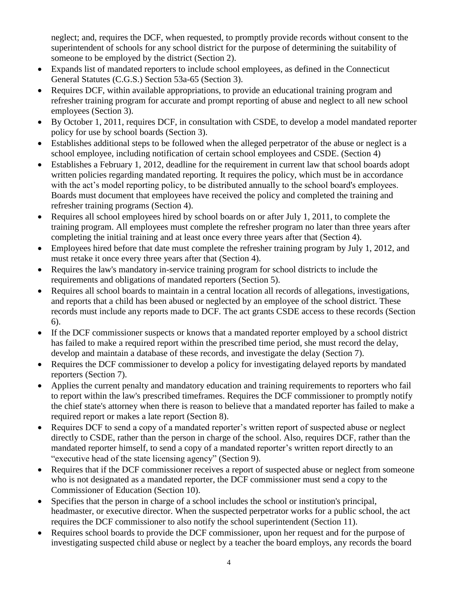neglect; and, requires the DCF, when requested, to promptly provide records without consent to the superintendent of schools for any school district for the purpose of determining the suitability of someone to be employed by the district (Section 2).

- Expands list of mandated reporters to include school employees, as defined in the Connecticut General Statutes (C.G.S.) Section 53a-65 (Section 3).
- Requires DCF, within available appropriations, to provide an educational training program and refresher training program for accurate and prompt reporting of abuse and neglect to all new school employees (Section 3).
- By October 1, 2011, requires DCF, in consultation with CSDE, to develop a model mandated reporter policy for use by school boards (Section 3).
- Establishes additional steps to be followed when the alleged perpetrator of the abuse or neglect is a school employee, including notification of certain school employees and CSDE. (Section 4)
- Establishes a February 1, 2012, deadline for the requirement in current law that school boards adopt written policies regarding mandated reporting. It requires the policy, which must be in accordance with the act's model reporting policy, to be distributed annually to the school board's employees. Boards must document that employees have received the policy and completed the training and refresher training programs (Section 4).
- Requires all school employees hired by school boards on or after July 1, 2011, to complete the training program. All employees must complete the refresher program no later than three years after completing the initial training and at least once every three years after that (Section 4).
- Employees hired before that date must complete the refresher training program by July 1, 2012, and must retake it once every three years after that (Section 4).
- Requires the law's mandatory in-service training program for school districts to include the requirements and obligations of mandated reporters (Section 5).
- Requires all school boards to maintain in a central location all records of allegations, investigations, and reports that a child has been abused or neglected by an employee of the school district. These records must include any reports made to DCF. The act grants CSDE access to these records (Section 6).
- If the DCF commissioner suspects or knows that a mandated reporter employed by a school district has failed to make a required report within the prescribed time period, she must record the delay, develop and maintain a database of these records, and investigate the delay (Section 7).
- Requires the DCF commissioner to develop a policy for investigating delayed reports by mandated reporters (Section 7).
- Applies the current penalty and mandatory education and training requirements to reporters who fail to report within the law's prescribed timeframes. Requires the DCF commissioner to promptly notify the chief state's attorney when there is reason to believe that a mandated reporter has failed to make a required report or makes a late report (Section 8).
- Requires DCF to send a copy of a mandated reporter's written report of suspected abuse or neglect directly to CSDE, rather than the person in charge of the school. Also, requires DCF, rather than the mandated reporter himself, to send a copy of a mandated reporter's written report directly to an "executive head of the state licensing agency" (Section 9).
- Requires that if the DCF commissioner receives a report of suspected abuse or neglect from someone who is not designated as a mandated reporter, the DCF commissioner must send a copy to the Commissioner of Education (Section 10).
- Specifies that the person in charge of a school includes the school or institution's principal, headmaster, or executive director. When the suspected perpetrator works for a public school, the act requires the DCF commissioner to also notify the school superintendent (Section 11).
- Requires school boards to provide the DCF commissioner, upon her request and for the purpose of investigating suspected child abuse or neglect by a teacher the board employs, any records the board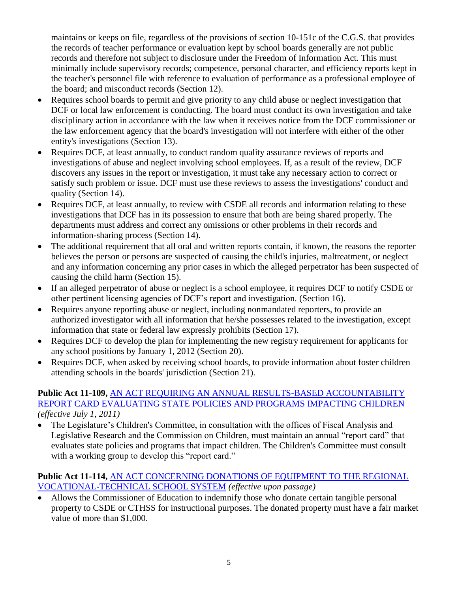maintains or keeps on file, regardless of the provisions of section 10-151c of the C.G.S. that provides the records of teacher performance or evaluation kept by school boards generally are not public records and therefore not subject to disclosure under the Freedom of Information Act. This must minimally include supervisory records; competence, personal character, and efficiency reports kept in the teacher's personnel file with reference to evaluation of performance as a professional employee of the board; and misconduct records (Section 12).

- Requires school boards to permit and give priority to any child abuse or neglect investigation that DCF or local law enforcement is conducting. The board must conduct its own investigation and take disciplinary action in accordance with the law when it receives notice from the DCF commissioner or the law enforcement agency that the board's investigation will not interfere with either of the other entity's investigations (Section 13).
- Requires DCF, at least annually, to conduct random quality assurance reviews of reports and investigations of abuse and neglect involving school employees. If, as a result of the review, DCF discovers any issues in the report or investigation, it must take any necessary action to correct or satisfy such problem or issue. DCF must use these reviews to assess the investigations' conduct and quality (Section 14).
- Requires DCF, at least annually, to review with CSDE all records and information relating to these investigations that DCF has in its possession to ensure that both are being shared properly. The departments must address and correct any omissions or other problems in their records and information-sharing process (Section 14).
- The additional requirement that all oral and written reports contain, if known, the reasons the reporter believes the person or persons are suspected of causing the child's injuries, maltreatment, or neglect and any information concerning any prior cases in which the alleged perpetrator has been suspected of causing the child harm (Section 15).
- If an alleged perpetrator of abuse or neglect is a school employee, it requires DCF to notify CSDE or other pertinent licensing agencies of DCF's report and investigation. (Section 16).
- Requires anyone reporting abuse or neglect, including nonmandated reporters, to provide an authorized investigator with all information that he/she possesses related to the investigation, except information that state or federal law expressly prohibits (Section 17).
- Requires DCF to develop the plan for implementing the new registry requirement for applicants for any school positions by January 1, 2012 (Section 20).
- Requires DCF, when asked by receiving school boards, to provide information about foster children attending schools in the boards' jurisdiction (Section 21).

#### **Public Act 11-109,** [AN ACT REQUIRING AN ANNUAL RESULTS-BASED ACCOUNTABILITY](http://www.cga.ct.gov/2011/ACT/Pa/pdf/2011PA-00109-R00HB-06282-PA.pdf)  [REPORT CARD EVALUATING STATE POLICIES AND PROGRAMS IMPACTING CHILDREN](http://www.cga.ct.gov/2011/ACT/Pa/pdf/2011PA-00109-R00HB-06282-PA.pdf) *(effective July 1, 2011)*

 The Legislature's Children's Committee, in consultation with the offices of Fiscal Analysis and Legislative Research and the Commission on Children, must maintain an annual "report card" that evaluates state policies and programs that impact children. The Children's Committee must consult with a working group to develop this "report card."

## **Public Act 11-114,** [AN ACT CONCERNING DONATIONS OF EQUIPMENT TO THE REGIONAL](http://www.cga.ct.gov/2011/ACT/PA/2011PA-00114-R00HB-06318-PA.htm)  [VOCATIONAL-TECHNICAL SCHOOL SYSTEM](http://www.cga.ct.gov/2011/ACT/PA/2011PA-00114-R00HB-06318-PA.htm) *(effective upon passage)*

• Allows the Commissioner of Education to indemnify those who donate certain tangible personal property to CSDE or CTHSS for instructional purposes. The donated property must have a fair market value of more than \$1,000.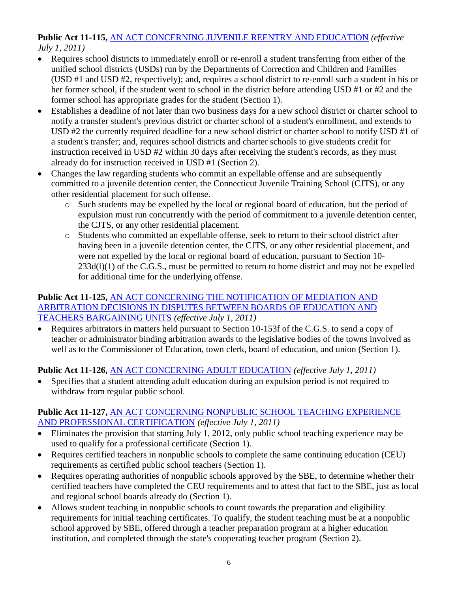### **Public Act 11-115,** [AN ACT CONCERNING JUVENILE REENTRY AND EDUCATION](http://www.cga.ct.gov/2011/ACT/Pa/pdf/2011PA-00115-R00HB-06325-PA.pdf) *(effective July 1, 2011)*

- Requires school districts to immediately enroll or re-enroll a student transferring from either of the unified school districts (USDs) run by the Departments of Correction and Children and Families (USD #1 and USD #2, respectively); and, requires a school district to re-enroll such a student in his or her former school, if the student went to school in the district before attending USD #1 or #2 and the former school has appropriate grades for the student (Section 1).
- Establishes a deadline of not later than two business days for a new school district or charter school to notify a transfer student's previous district or charter school of a student's enrollment, and extends to USD #2 the currently required deadline for a new school district or charter school to notify USD #1 of a student's transfer; and, requires school districts and charter schools to give students credit for instruction received in USD #2 within 30 days after receiving the student's records, as they must already do for instruction received in USD #1 (Section 2).
- Changes the law regarding students who commit an expellable offense and are subsequently committed to a juvenile detention center, the Connecticut Juvenile Training School (CJTS), or any other residential placement for such offense.
	- o Such students may be expelled by the local or regional board of education, but the period of expulsion must run concurrently with the period of commitment to a juvenile detention center, the CJTS, or any other residential placement.
	- o Students who committed an expellable offense, seek to return to their school district after having been in a juvenile detention center, the CJTS, or any other residential placement, and were not expelled by the local or regional board of education, pursuant to Section 10-  $233d(1)(1)$  of the C.G.S., must be permitted to return to home district and may not be expelled for additional time for the underlying offense.

## **Public Act 11-125,** [AN ACT CONCERNING THE NOTIFICATION OF MEDIATION AND](http://www.cga.ct.gov/2011/ACT/Pa/pdf/2011PA-00125-R00HB-06422-PA.pdf)  [ARBITRATION DECISIONS IN DISPUTES BETWEEN BOARDS OF EDUCATION AND](http://www.cga.ct.gov/2011/ACT/Pa/pdf/2011PA-00125-R00HB-06422-PA.pdf)  [TEACHERS BARGAINING UNITS](http://www.cga.ct.gov/2011/ACT/Pa/pdf/2011PA-00125-R00HB-06422-PA.pdf) *(effective July 1, 2011)*

• Requires arbitrators in matters held pursuant to Section 10-153f of the C.G.S. to send a copy of teacher or administrator binding arbitration awards to the legislative bodies of the towns involved as well as to the Commissioner of Education, town clerk, board of education, and union (Section 1).

# **Public Act 11-126,** [AN ACT CONCERNING ADULT EDUCATION](http://www.cga.ct.gov/2011/ACT/Pa/pdf/2011PA-00126-R00HB-06433-PA.pdf) *(effective July 1, 2011)*

 Specifies that a student attending adult education during an expulsion period is not required to withdraw from regular public school.

## **Public Act 11-127,** [AN ACT CONCERNING NONPUBLIC SCHOOL TEACHING EXPERIENCE](http://www.cga.ct.gov/2011/ACT/Pa/pdf/2011PA-00127-R00HB-06434-PA.pdf)  [AND PROFESSIONAL CERTIFICATION](http://www.cga.ct.gov/2011/ACT/Pa/pdf/2011PA-00127-R00HB-06434-PA.pdf) *(effective July 1, 2011)*

- Eliminates the provision that starting July 1, 2012, only public school teaching experience may be used to qualify for a professional certificate (Section 1).
- Requires certified teachers in nonpublic schools to complete the same continuing education (CEU) requirements as certified public school teachers (Section 1).
- Requires operating authorities of nonpublic schools approved by the SBE, to determine whether their certified teachers have completed the CEU requirements and to attest that fact to the SBE, just as local and regional school boards already do (Section 1).
- Allows student teaching in nonpublic schools to count towards the preparation and eligibility requirements for initial teaching certificates. To qualify, the student teaching must be at a nonpublic school approved by SBE, offered through a teacher preparation program at a higher education institution, and completed through the state's cooperating teacher program (Section 2).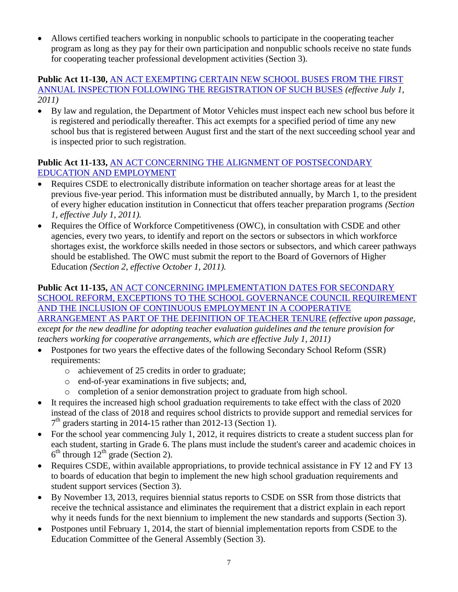Allows certified teachers working in nonpublic schools to participate in the cooperating teacher program as long as they pay for their own participation and nonpublic schools receive no state funds for cooperating teacher professional development activities (Section 3).

#### **Public Act 11-130,** [AN ACT EXEMPTING CERTAIN NEW SCHOOL BUSES FROM THE FIRST](http://www.cga.ct.gov/2011/ACT/Pa/pdf/2011PA-00130-R00HB-06448-PA.pdf)  [ANNUAL INSPECTION FOLLOWING THE REGISTRATION OF SUCH BUSES](http://www.cga.ct.gov/2011/ACT/Pa/pdf/2011PA-00130-R00HB-06448-PA.pdf) *(effective July 1, 2011)*

 By law and regulation, the Department of Motor Vehicles must inspect each new school bus before it is registered and periodically thereafter. This act exempts for a specified period of time any new school bus that is registered between August first and the start of the next succeeding school year and is inspected prior to such registration.

## **Public Act 11-133,** [AN ACT CONCERNING THE ALIGNMENT OF POSTSECONDARY](http://www.cga.ct.gov/2011/ACT/Pa/pdf/2011PA-00133-R00HB-06485-PA.pdf)  [EDUCATION AND EMPLOYMENT](http://www.cga.ct.gov/2011/ACT/Pa/pdf/2011PA-00133-R00HB-06485-PA.pdf)

- Requires CSDE to electronically distribute information on teacher shortage areas for at least the previous five-year period. This information must be distributed annually, by March 1, to the president of every higher education institution in Connecticut that offers teacher preparation programs *(Section 1, effective July 1, 2011).*
- Requires the Office of Workforce Competitiveness (OWC), in consultation with CSDE and other agencies, every two years, to identify and report on the sectors or subsectors in which workforce shortages exist, the workforce skills needed in those sectors or subsectors, and which career pathways should be established. The OWC must submit the report to the Board of Governors of Higher Education *(Section 2, effective October 1, 2011).*

# **Public Act 11-135,** [AN ACT CONCERNING IMPLEMENTATION DATES FOR SECONDARY](http://www.cga.ct.gov/2011/ACT/Pa/pdf/2011PA-00135-R00HB-06498-PA.pdf)  [SCHOOL REFORM, EXCEPTIONS TO THE SCHOOL GOVERNANCE COUNCIL REQUIREMENT](http://www.cga.ct.gov/2011/ACT/Pa/pdf/2011PA-00135-R00HB-06498-PA.pdf)  [AND THE INCLUSION OF CONTINUOUS EMPLOYMENT IN A COOPERATIVE](http://www.cga.ct.gov/2011/ACT/Pa/pdf/2011PA-00135-R00HB-06498-PA.pdf)

[ARRANGEMENT AS PART OF THE DEFINITION OF TEACHER TENURE](http://www.cga.ct.gov/2011/ACT/Pa/pdf/2011PA-00135-R00HB-06498-PA.pdf) *(effective upon passage, except for the new deadline for adopting teacher evaluation guidelines and the tenure provision for teachers working for cooperative arrangements, which are effective July 1, 2011)*

- Postpones for two years the effective dates of the following Secondary School Reform (SSR) requirements:
	- o achievement of 25 credits in order to graduate;
	- o end-of-year examinations in five subjects; and,
	- o completion of a senior demonstration project to graduate from high school.
- It requires the increased high school graduation requirements to take effect with the class of 2020 instead of the class of 2018 and requires school districts to provide support and remedial services for 7<sup>th</sup> graders starting in 2014-15 rather than 2012-13 (Section 1).
- For the school year commencing July 1, 2012, it requires districts to create a student success plan for each student, starting in Grade 6. The plans must include the student's career and academic choices in  $6<sup>th</sup>$  through  $12<sup>th</sup>$  grade (Section 2).
- Requires CSDE, within available appropriations, to provide technical assistance in FY 12 and FY 13 to boards of education that begin to implement the new high school graduation requirements and student support services (Section 3).
- By November 13, 2013, requires biennial status reports to CSDE on SSR from those districts that receive the technical assistance and eliminates the requirement that a district explain in each report why it needs funds for the next biennium to implement the new standards and supports (Section 3).
- Postpones until February 1, 2014, the start of biennial implementation reports from CSDE to the Education Committee of the General Assembly (Section 3).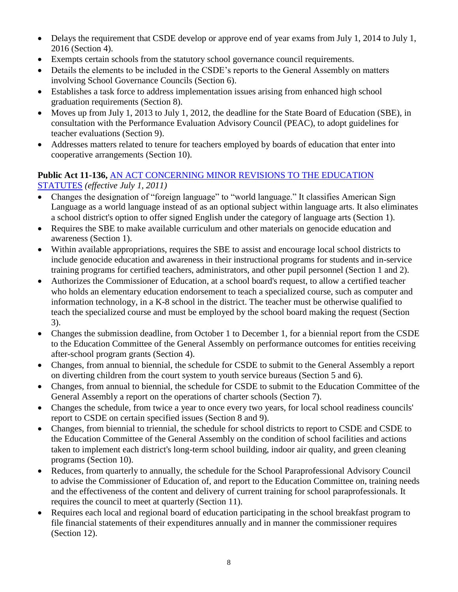- Delays the requirement that CSDE develop or approve end of year exams from July 1, 2014 to July 1, 2016 (Section 4).
- Exempts certain schools from the statutory school governance council requirements.
- Details the elements to be included in the CSDE's reports to the General Assembly on matters involving School Governance Councils (Section 6).
- Establishes a task force to address implementation issues arising from enhanced high school graduation requirements (Section 8).
- Moves up from July 1, 2013 to July 1, 2012, the deadline for the State Board of Education (SBE), in consultation with the Performance Evaluation Advisory Council (PEAC), to adopt guidelines for teacher evaluations (Section 9).
- Addresses matters related to tenure for teachers employed by boards of education that enter into cooperative arrangements (Section 10).

## **Public Act 11-136,** [AN ACT CONCERNING MINOR REVISIONS TO THE EDUCATION](http://www.cga.ct.gov/2011/ACT/Pa/pdf/2011PA-00136-R00HB-06499-PA.pdf)  [STATUTES](http://www.cga.ct.gov/2011/ACT/Pa/pdf/2011PA-00136-R00HB-06499-PA.pdf) *(effective July 1, 2011)*

- Changes the designation of "foreign language" to "world language." It classifies American Sign Language as a world language instead of as an optional subject within language arts. It also eliminates a school district's option to offer signed English under the category of language arts (Section 1).
- Requires the SBE to make available curriculum and other materials on genocide education and awareness (Section 1).
- Within available appropriations, requires the SBE to assist and encourage local school districts to include genocide education and awareness in their instructional programs for students and in-service training programs for certified teachers, administrators, and other pupil personnel (Section 1 and 2).
- Authorizes the Commissioner of Education, at a school board's request, to allow a certified teacher who holds an elementary education endorsement to teach a specialized course, such as computer and information technology, in a K-8 school in the district. The teacher must be otherwise qualified to teach the specialized course and must be employed by the school board making the request (Section 3).
- Changes the submission deadline, from October 1 to December 1, for a biennial report from the CSDE to the Education Committee of the General Assembly on performance outcomes for entities receiving after-school program grants (Section 4).
- Changes, from annual to biennial, the schedule for CSDE to submit to the General Assembly a report on diverting children from the court system to youth service bureaus (Section 5 and 6).
- Changes, from annual to biennial, the schedule for CSDE to submit to the Education Committee of the General Assembly a report on the operations of charter schools (Section 7).
- Changes the schedule, from twice a year to once every two years, for local school readiness councils' report to CSDE on certain specified issues (Section 8 and 9).
- Changes, from biennial to triennial, the schedule for school districts to report to CSDE and CSDE to the Education Committee of the General Assembly on the condition of school facilities and actions taken to implement each district's long-term school building, indoor air quality, and green cleaning programs (Section 10).
- Reduces, from quarterly to annually, the schedule for the School Paraprofessional Advisory Council to advise the Commissioner of Education of, and report to the Education Committee on, training needs and the effectiveness of the content and delivery of current training for school paraprofessionals. It requires the council to meet at quarterly (Section 11).
- Requires each local and regional board of education participating in the school breakfast program to file financial statements of their expenditures annually and in manner the commissioner requires (Section 12).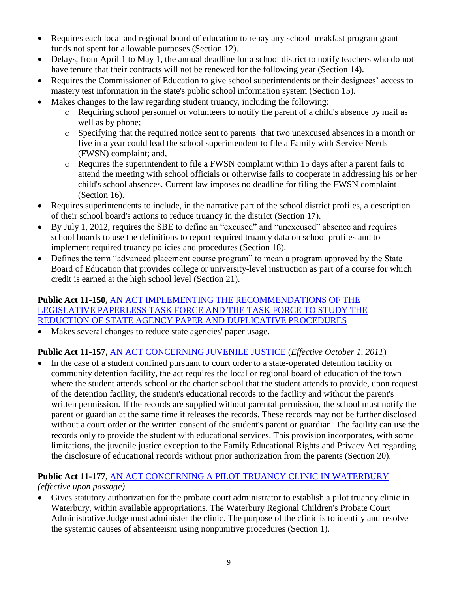- Requires each local and regional board of education to repay any school breakfast program grant funds not spent for allowable purposes (Section 12).
- Delays, from April 1 to May 1, the annual deadline for a school district to notify teachers who do not have tenure that their contracts will not be renewed for the following year (Section 14).
- Requires the Commissioner of Education to give school superintendents or their designees' access to mastery test information in the state's public school information system (Section 15).
- Makes changes to the law regarding student truancy, including the following:
	- o Requiring school personnel or volunteers to notify the parent of a child's absence by mail as well as by phone;
	- o Specifying that the required notice sent to parents that two unexcused absences in a month or five in a year could lead the school superintendent to file a Family with Service Needs (FWSN) complaint; and,
	- o Requires the superintendent to file a FWSN complaint within 15 days after a parent fails to attend the meeting with school officials or otherwise fails to cooperate in addressing his or her child's school absences. Current law imposes no deadline for filing the FWSN complaint (Section 16).
- Requires superintendents to include, in the narrative part of the school district profiles, a description of their school board's actions to reduce truancy in the district (Section 17).
- By July 1, 2012, requires the SBE to define an "excused" and "unexcused" absence and requires school boards to use the definitions to report required truancy data on school profiles and to implement required truancy policies and procedures (Section 18).
- Defines the term "advanced placement course program" to mean a program approved by the State Board of Education that provides college or university-level instruction as part of a course for which credit is earned at the high school level (Section 21).

### **Public Act 11-150,** [AN ACT IMPLEMENTING THE RECOMMENDATIONS OF THE](http://www.cga.ct.gov/2011/ACT/Pa/pdf/2011PA-00150-R00HB-06600-PA.pdf)  [LEGISLATIVE PAPERLESS TASK FORCE AND THE TASK FORCE TO STUDY THE](http://www.cga.ct.gov/2011/ACT/Pa/pdf/2011PA-00150-R00HB-06600-PA.pdf)  [REDUCTION OF STATE AGENCY PAPER AND DUPLICATIVE PROCEDURES](http://www.cga.ct.gov/2011/ACT/Pa/pdf/2011PA-00150-R00HB-06600-PA.pdf)

• Makes several changes to reduce state agencies' paper usage.

# **Public Act 11-157,** [AN ACT CONCERNING JUVENILE JUSTICE](http://www.cga.ct.gov/2011/ACT/Pa/pdf/2011PA-00157-R00HB-06638-PA.pdf) (*Effective October 1, 2011*)

 In the case of a student confined pursuant to court order to a state-operated detention facility or community detention facility, the act requires the local or regional board of education of the town where the student attends school or the charter school that the student attends to provide, upon request of the detention facility, the student's educational records to the facility and without the parent's written permission. If the records are supplied without parental permission, the school must notify the parent or guardian at the same time it releases the records. These records may not be further disclosed without a court order or the written consent of the student's parent or guardian. The facility can use the records only to provide the student with educational services. This provision incorporates, with some limitations, the juvenile justice exception to the Family Educational Rights and Privacy Act regarding the disclosure of educational records without prior authorization from the parents (Section 20).

# **Public Act 11-177,** [AN ACT CONCERNING A PILOT TRUANCY CLINIC IN WATERBURY](http://www.cga.ct.gov/2011/ACT/Pa/pdf/2011PA-00177-R00SB-00982-PA.pdf)

# *(effective upon passage)*

 Gives statutory authorization for the probate court administrator to establish a pilot truancy clinic in Waterbury, within available appropriations. The Waterbury Regional Children's Probate Court Administrative Judge must administer the clinic. The purpose of the clinic is to identify and resolve the systemic causes of absenteeism using nonpunitive procedures (Section 1).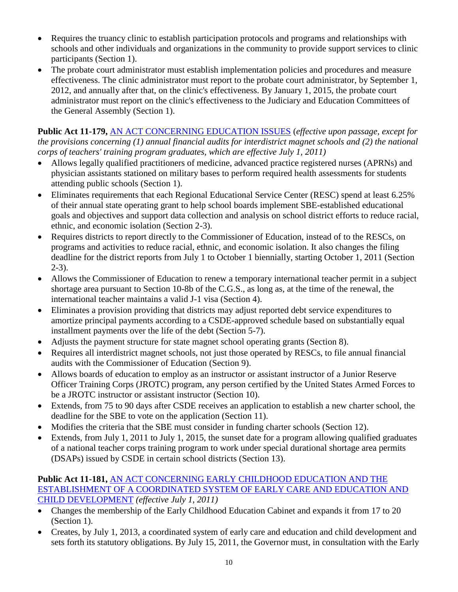- Requires the truancy clinic to establish participation protocols and programs and relationships with schools and other individuals and organizations in the community to provide support services to clinic participants (Section 1).
- The probate court administrator must establish implementation policies and procedures and measure effectiveness. The clinic administrator must report to the probate court administrator, by September 1, 2012, and annually after that, on the clinic's effectiveness. By January 1, 2015, the probate court administrator must report on the clinic's effectiveness to the Judiciary and Education Committees of the General Assembly (Section 1).

**Public Act 11-179,** [AN ACT CONCERNING EDUCATION ISSUES](http://www.cga.ct.gov/2011/ACT/Pa/pdf/2011PA-00179-R00SB-01039-PA.pdf) (*effective upon passage, except for the provisions concerning (1) annual financial audits for interdistrict magnet schools and (2) the national corps of teachers' training program graduates, which are effective July 1, 2011)*

- Allows legally qualified practitioners of medicine, advanced practice registered nurses (APRNs) and physician assistants stationed on military bases to perform required health assessments for students attending public schools (Section 1).
- Eliminates requirements that each Regional Educational Service Center (RESC) spend at least 6.25% of their annual state operating grant to help school boards implement SBE-established educational goals and objectives and support data collection and analysis on school district efforts to reduce racial, ethnic, and economic isolation (Section 2-3).
- Requires districts to report directly to the Commissioner of Education, instead of to the RESCs, on programs and activities to reduce racial, ethnic, and economic isolation. It also changes the filing deadline for the district reports from July 1 to October 1 biennially, starting October 1, 2011 (Section 2-3).
- Allows the Commissioner of Education to renew a temporary international teacher permit in a subject shortage area pursuant to Section 10-8b of the C.G.S., as long as, at the time of the renewal, the international teacher maintains a valid J-1 visa (Section 4).
- Eliminates a provision providing that districts may adjust reported debt service expenditures to amortize principal payments according to a CSDE-approved schedule based on substantially equal installment payments over the life of the debt (Section 5-7).
- Adjusts the payment structure for state magnet school operating grants (Section 8).
- Requires all interdistrict magnet schools, not just those operated by RESCs, to file annual financial audits with the Commissioner of Education (Section 9).
- Allows boards of education to employ as an instructor or assistant instructor of a Junior Reserve Officer Training Corps (JROTC) program, any person certified by the United States Armed Forces to be a JROTC instructor or assistant instructor (Section 10).
- Extends, from 75 to 90 days after CSDE receives an application to establish a new charter school, the deadline for the SBE to vote on the application (Section 11).
- Modifies the criteria that the SBE must consider in funding charter schools (Section 12).
- Extends, from July 1, 2011 to July 1, 2015, the sunset date for a program allowing qualified graduates of a national teacher corps training program to work under special durational shortage area permits (DSAPs) issued by CSDE in certain school districts (Section 13).

## **Public Act 11-181,** [AN ACT CONCERNING EARLY CHILDHOOD EDUCATION AND THE](http://www.cga.ct.gov/2011/ACT/Pa/pdf/2011PA-00181-R00SB-01103-PA.pdf)  [ESTABLISHMENT OF A COORDINATED SYSTEM OF EARLY CARE AND EDUCATION AND](http://www.cga.ct.gov/2011/ACT/Pa/pdf/2011PA-00181-R00SB-01103-PA.pdf)  [CHILD DEVELOPMENT](http://www.cga.ct.gov/2011/ACT/Pa/pdf/2011PA-00181-R00SB-01103-PA.pdf) *(effective July 1, 2011)*

- Changes the membership of the Early Childhood Education Cabinet and expands it from 17 to 20 (Section 1).
- Creates, by July 1, 2013, a coordinated system of early care and education and child development and sets forth its statutory obligations. By July 15, 2011, the Governor must, in consultation with the Early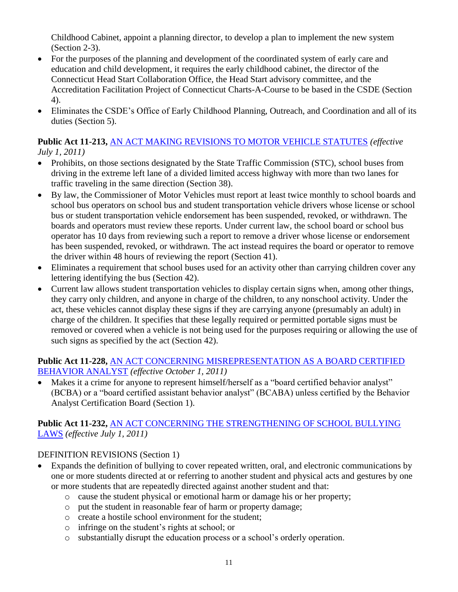Childhood Cabinet, appoint a planning director, to develop a plan to implement the new system (Section 2-3).

- For the purposes of the planning and development of the coordinated system of early care and education and child development, it requires the early childhood cabinet, the director of the Connecticut Head Start Collaboration Office, the Head Start advisory committee, and the Accreditation Facilitation Project of Connecticut Charts-A-Course to be based in the CSDE (Section 4).
- Eliminates the CSDE's Office of Early Childhood Planning, Outreach, and Coordination and all of its duties (Section 5).

## **Public Act 11-213,** [AN ACT MAKING REVISIONS TO MOTOR VEHICLE STATUTES](http://www.cga.ct.gov/2011/ACT/Pa/pdf/2011PA-00213-R00HB-06581-PA.pdf) *(effective July 1, 2011)*

- Prohibits, on those sections designated by the State Traffic Commission (STC), school buses from driving in the extreme left lane of a divided limited access highway with more than two lanes for traffic traveling in the same direction (Section 38).
- By law, the Commissioner of Motor Vehicles must report at least twice monthly to school boards and school bus operators on school bus and student transportation vehicle drivers whose license or school bus or student transportation vehicle endorsement has been suspended, revoked, or withdrawn. The boards and operators must review these reports. Under current law, the school board or school bus operator has 10 days from reviewing such a report to remove a driver whose license or endorsement has been suspended, revoked, or withdrawn. The act instead requires the board or operator to remove the driver within 48 hours of reviewing the report (Section 41).
- Eliminates a requirement that school buses used for an activity other than carrying children cover any lettering identifying the bus (Section 42).
- Current law allows student transportation vehicles to display certain signs when, among other things, they carry only children, and anyone in charge of the children, to any nonschool activity. Under the act, these vehicles cannot display these signs if they are carrying anyone (presumably an adult) in charge of the children. It specifies that these legally required or permitted portable signs must be removed or covered when a vehicle is not being used for the purposes requiring or allowing the use of such signs as specified by the act (Section 42).

## **Public Act 11-228,** [AN ACT CONCERNING MISREPRESENTATION AS A BOARD CERTIFIED](http://www.cga.ct.gov/2011/ACT/Pa/pdf/2011PA-00228-R00SB-00799-PA.pdf)  [BEHAVIOR ANALYST](http://www.cga.ct.gov/2011/ACT/Pa/pdf/2011PA-00228-R00SB-00799-PA.pdf) *(effective October 1, 2011)*

 Makes it a crime for anyone to represent himself/herself as a "board certified behavior analyst" (BCBA) or a "board certified assistant behavior analyst" (BCABA) unless certified by the Behavior Analyst Certification Board (Section 1).

## **Public Act 11-232,** [AN ACT CONCERNING THE STRENGTHENING OF SCHOOL BULLYING](http://www.cga.ct.gov/2011/ACT/Pa/pdf/2011PA-00232-R00SB-01138-PA.pdf)  [LAWS](http://www.cga.ct.gov/2011/ACT/Pa/pdf/2011PA-00232-R00SB-01138-PA.pdf) *(effective July 1, 2011)*

## DEFINITION REVISIONS (Section 1)

- Expands the definition of bullying to cover repeated written, oral, and electronic communications by one or more students directed at or referring to another student and physical acts and gestures by one or more students that are repeatedly directed against another student and that:
	- o cause the student physical or emotional harm or damage his or her property;
	- o put the student in reasonable fear of harm or property damage;
	- o create a hostile school environment for the student;
	- o infringe on the student's rights at school; or
	- o substantially disrupt the education process or a school's orderly operation.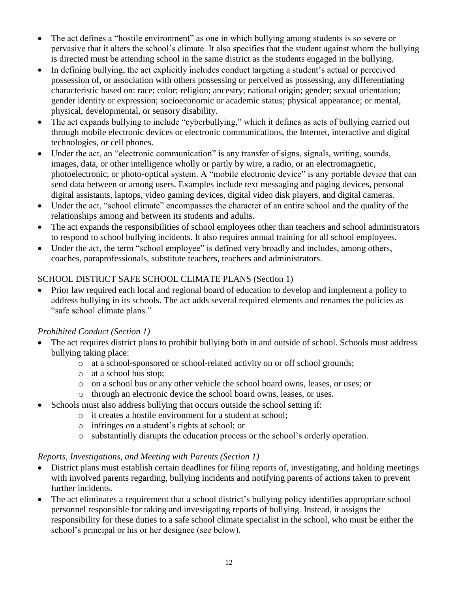- The act defines a "hostile environment" as one in which bullying among students is so severe or pervasive that it alters the school's climate. It also specifies that the student against whom the bullying is directed must be attending school in the same district as the students engaged in the bullying.
- In defining bullying, the act explicitly includes conduct targeting a student's actual or perceived possession of, or association with others possessing or perceived as possessing, any differentiating characteristic based on: race; color; religion; ancestry; national origin; gender; sexual orientation; gender identity or expression; socioeconomic or academic status; physical appearance; or mental, physical, developmental, or sensory disability.
- The act expands bullying to include "cyberbullying," which it defines as acts of bullying carried out through mobile electronic devices or electronic communications, the Internet, interactive and digital technologies, or cell phones.
- Under the act, an "electronic communication" is any transfer of signs, signals, writing, sounds, images, data, or other intelligence wholly or partly by wire, a radio, or an electromagnetic, photoelectronic, or photo-optical system. A "mobile electronic device" is any portable device that can send data between or among users. Examples include text messaging and paging devices, personal digital assistants, laptops, video gaming devices, digital video disk players, and digital cameras.
- Under the act, "school climate" encompasses the character of an entire school and the quality of the relationships among and between its students and adults.
- The act expands the responsibilities of school employees other than teachers and school administrators to respond to school bullying incidents. It also requires annual training for all school employees.
- Under the act, the term "school employee" is defined very broadly and includes, among others, coaches, paraprofessionals, substitute teachers, teachers and administrators.

# SCHOOL DISTRICT SAFE SCHOOL CLIMATE PLANS (Section 1)

 Prior law required each local and regional board of education to develop and implement a policy to address bullying in its schools. The act adds several required elements and renames the policies as "safe school climate plans."

## *Prohibited Conduct (Section 1)*

- The act requires district plans to prohibit bullying both in and outside of school. Schools must address bullying taking place:
	- o at a school-sponsored or school-related activity on or off school grounds;
	- o at a school bus stop;
	- o on a school bus or any other vehicle the school board owns, leases, or uses; or
	- o through an electronic device the school board owns, leases, or uses.
- Schools must also address bullying that occurs outside the school setting if:
	- o it creates a hostile environment for a student at school;
		- o infringes on a student's rights at school; or
		- o substantially disrupts the education process or the school's orderly operation.

## *Reports, Investigations, and Meeting with Parents (Section 1)*

- District plans must establish certain deadlines for filing reports of, investigating, and holding meetings with involved parents regarding, bullying incidents and notifying parents of actions taken to prevent further incidents.
- The act eliminates a requirement that a school district's bullying policy identifies appropriate school personnel responsible for taking and investigating reports of bullying. Instead, it assigns the responsibility for these duties to a safe school climate specialist in the school, who must be either the school's principal or his or her designee (see below).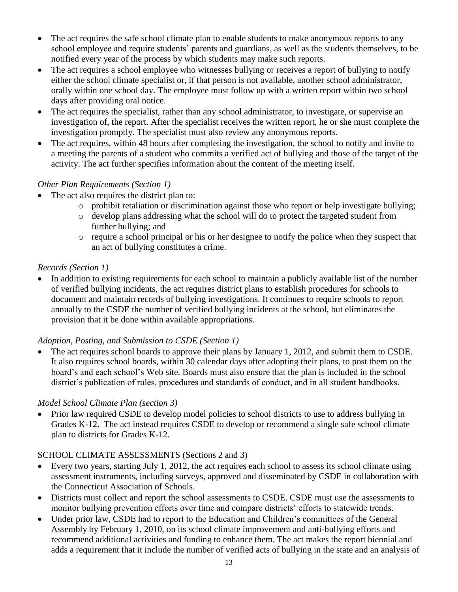- The act requires the safe school climate plan to enable students to make anonymous reports to any school employee and require students' parents and guardians, as well as the students themselves, to be notified every year of the process by which students may make such reports.
- The act requires a school employee who witnesses bullying or receives a report of bullying to notify either the school climate specialist or, if that person is not available, another school administrator, orally within one school day. The employee must follow up with a written report within two school days after providing oral notice.
- The act requires the specialist, rather than any school administrator, to investigate, or supervise an investigation of, the report. After the specialist receives the written report, he or she must complete the investigation promptly. The specialist must also review any anonymous reports.
- The act requires, within 48 hours after completing the investigation, the school to notify and invite to a meeting the parents of a student who commits a verified act of bullying and those of the target of the activity. The act further specifies information about the content of the meeting itself.

## *Other Plan Requirements (Section 1)*

- The act also requires the district plan to:
	- o prohibit retaliation or discrimination against those who report or help investigate bullying;
	- o develop plans addressing what the school will do to protect the targeted student from further bullying; and
	- $\circ$  require a school principal or his or her designee to notify the police when they suspect that an act of bullying constitutes a crime.

# *Records (Section 1)*

• In addition to existing requirements for each school to maintain a publicly available list of the number of verified bullying incidents, the act requires district plans to establish procedures for schools to document and maintain records of bullying investigations. It continues to require schools to report annually to the CSDE the number of verified bullying incidents at the school, but eliminates the provision that it be done within available appropriations.

## *Adoption, Posting, and Submission to CSDE (Section 1)*

• The act requires school boards to approve their plans by January 1, 2012, and submit them to CSDE. It also requires school boards, within 30 calendar days after adopting their plans, to post them on the board's and each school's Web site. Boards must also ensure that the plan is included in the school district's publication of rules, procedures and standards of conduct, and in all student handbooks.

## *Model School Climate Plan (section 3)*

• Prior law required CSDE to develop model policies to school districts to use to address bullying in Grades K-12. The act instead requires CSDE to develop or recommend a single safe school climate plan to districts for Grades K-12.

# SCHOOL CLIMATE ASSESSMENTS (Sections 2 and 3)

- Every two years, starting July 1, 2012, the act requires each school to assess its school climate using assessment instruments, including surveys, approved and disseminated by CSDE in collaboration with the Connecticut Association of Schools.
- Districts must collect and report the school assessments to CSDE. CSDE must use the assessments to monitor bullying prevention efforts over time and compare districts' efforts to statewide trends.
- Under prior law, CSDE had to report to the Education and Children's committees of the General Assembly by February 1, 2010, on its school climate improvement and anti-bullying efforts and recommend additional activities and funding to enhance them. The act makes the report biennial and adds a requirement that it include the number of verified acts of bullying in the state and an analysis of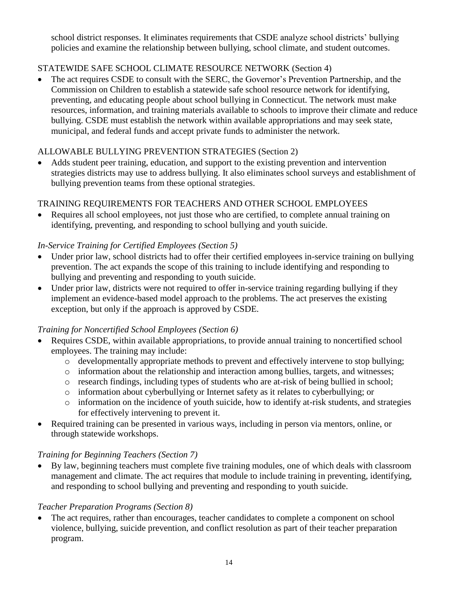school district responses. It eliminates requirements that CSDE analyze school districts' bullying policies and examine the relationship between bullying, school climate, and student outcomes.

# STATEWIDE SAFE SCHOOL CLIMATE RESOURCE NETWORK (Section 4)

 The act requires CSDE to consult with the SERC, the Governor's Prevention Partnership, and the Commission on Children to establish a statewide safe school resource network for identifying, preventing, and educating people about school bullying in Connecticut. The network must make resources, information, and training materials available to schools to improve their climate and reduce bullying. CSDE must establish the network within available appropriations and may seek state, municipal, and federal funds and accept private funds to administer the network.

## ALLOWABLE BULLYING PREVENTION STRATEGIES (Section 2)

 Adds student peer training, education, and support to the existing prevention and intervention strategies districts may use to address bullying. It also eliminates school surveys and establishment of bullying prevention teams from these optional strategies.

## TRAINING REQUIREMENTS FOR TEACHERS AND OTHER SCHOOL EMPLOYEES

• Requires all school employees, not just those who are certified, to complete annual training on identifying, preventing, and responding to school bullying and youth suicide.

## *In-Service Training for Certified Employees (Section 5)*

- Under prior law, school districts had to offer their certified employees in-service training on bullying prevention. The act expands the scope of this training to include identifying and responding to bullying and preventing and responding to youth suicide.
- Under prior law, districts were not required to offer in-service training regarding bullying if they implement an evidence-based model approach to the problems. The act preserves the existing exception, but only if the approach is approved by CSDE.

## *Training for Noncertified School Employees (Section 6)*

- Requires CSDE, within available appropriations, to provide annual training to noncertified school employees. The training may include:
	- o developmentally appropriate methods to prevent and effectively intervene to stop bullying;
	- o information about the relationship and interaction among bullies, targets, and witnesses;
	- o research findings, including types of students who are at-risk of being bullied in school;
	- o information about cyberbullying or Internet safety as it relates to cyberbullying; or
	- o information on the incidence of youth suicide, how to identify at-risk students, and strategies for effectively intervening to prevent it.
- Required training can be presented in various ways, including in person via mentors, online, or through statewide workshops.

## *Training for Beginning Teachers (Section 7)*

 By law, beginning teachers must complete five training modules, one of which deals with classroom management and climate. The act requires that module to include training in preventing, identifying, and responding to school bullying and preventing and responding to youth suicide.

## *Teacher Preparation Programs (Section 8)*

• The act requires, rather than encourages, teacher candidates to complete a component on school violence, bullying, suicide prevention, and conflict resolution as part of their teacher preparation program.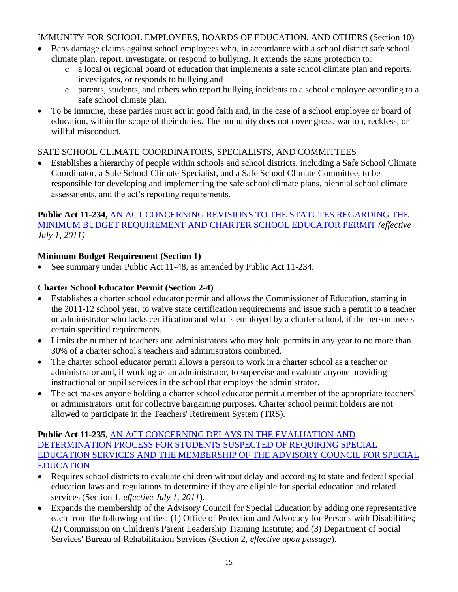## IMMUNITY FOR SCHOOL EMPLOYEES, BOARDS OF EDUCATION, AND OTHERS (Section 10)

- Bans damage claims against school employees who, in accordance with a school district safe school climate plan, report, investigate, or respond to bullying. It extends the same protection to:
	- o a local or regional board of education that implements a safe school climate plan and reports, investigates, or responds to bullying and
	- o parents, students, and others who report bullying incidents to a school employee according to a safe school climate plan.
- To be immune, these parties must act in good faith and, in the case of a school employee or board of education, within the scope of their duties. The immunity does not cover gross, wanton, reckless, or willful misconduct.

## SAFE SCHOOL CLIMATE COORDINATORS, SPECIALISTS, AND COMMITTEES

 Establishes a hierarchy of people within schools and school districts, including a Safe School Climate Coordinator, a Safe School Climate Specialist, and a Safe School Climate Committee, to be responsible for developing and implementing the safe school climate plans, biennial school climate assessments, and the act's reporting requirements.

## **Public Act 11-234,** [AN ACT CONCERNING REVISIONS TO THE STATUTES REGARDING THE](http://www.cga.ct.gov/2011/ACT/Pa/pdf/2011PA-00234-R00SB-01160-PA.pdf)  [MINIMUM BUDGET REQUIREMENT AND CHARTER SCHOOL EDUCATOR PERMIT](http://www.cga.ct.gov/2011/ACT/Pa/pdf/2011PA-00234-R00SB-01160-PA.pdf) *(effective July 1, 2011)*

# **Minimum Budget Requirement (Section 1)**

See summary under Public Act 11-48, as amended by Public Act 11-234.

## **Charter School Educator Permit (Section 2-4)**

- Establishes a charter school educator permit and allows the Commissioner of Education, starting in the 2011-12 school year, to waive state certification requirements and issue such a permit to a teacher or administrator who lacks certification and who is employed by a charter school, if the person meets certain specified requirements.
- Limits the number of teachers and administrators who may hold permits in any year to no more than 30% of a charter school's teachers and administrators combined.
- The charter school educator permit allows a person to work in a charter school as a teacher or administrator and, if working as an administrator, to supervise and evaluate anyone providing instructional or pupil services in the school that employs the administrator.
- The act makes anyone holding a charter school educator permit a member of the appropriate teachers' or administrators' unit for collective bargaining purposes. Charter school permit holders are not allowed to participate in the Teachers' Retirement System (TRS).

### **Public Act 11-235,** [AN ACT CONCERNING DELAYS IN THE EVALUATION AND](http://www.cga.ct.gov/2011/ACT/Pa/pdf/2011PA-00235-R00HB-06501-PA.pdf)  [DETERMINATION PROCESS FOR STUDENTS SUSPECTED OF REQUIRING SPECIAL](http://www.cga.ct.gov/2011/ACT/Pa/pdf/2011PA-00235-R00HB-06501-PA.pdf)  [EDUCATION SERVICES AND THE MEMBERSHIP OF THE ADVISORY COUNCIL FOR SPECIAL](http://www.cga.ct.gov/2011/ACT/Pa/pdf/2011PA-00235-R00HB-06501-PA.pdf)  [EDUCATION](http://www.cga.ct.gov/2011/ACT/Pa/pdf/2011PA-00235-R00HB-06501-PA.pdf)

- Requires school districts to evaluate children without delay and according to state and federal special education laws and regulations to determine if they are eligible for special education and related services (Section 1, *effective July 1, 2011*).
- Expands the membership of the Advisory Council for Special Education by adding one representative each from the following entities: (1) Office of Protection and Advocacy for Persons with Disabilities; (2) Commission on Children's Parent Leadership Training Institute; and (3) Department of Social Services' Bureau of Rehabilitation Services (Section 2, *effective upon passage*).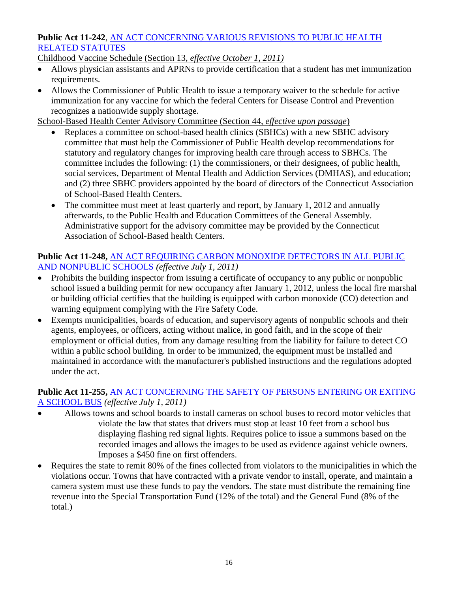### **Public Act 11-242**, [AN ACT CONCERNING VARIOUS REVISIONS TO PUBLIC HEALTH](http://www.cga.ct.gov/2011/ACT/Pa/pdf/2011PA-00242-R00HB-06618-PA.pdf)  [RELATED STATUTES](http://www.cga.ct.gov/2011/ACT/Pa/pdf/2011PA-00242-R00HB-06618-PA.pdf)

Childhood Vaccine Schedule (Section 13, *effective October 1, 2011)*

- Allows physician assistants and APRNs to provide certification that a student has met immunization requirements.
- Allows the Commissioner of Public Health to issue a temporary waiver to the schedule for active immunization for any vaccine for which the federal Centers for Disease Control and Prevention recognizes a nationwide supply shortage.

School-Based Health Center Advisory Committee (Section 44, *effective upon passage*)

- Replaces a committee on school-based health clinics (SBHCs) with a new SBHC advisory committee that must help the Commissioner of Public Health develop recommendations for statutory and regulatory changes for improving health care through access to SBHCs. The committee includes the following: (1) the commissioners, or their designees, of public health, social services, Department of Mental Health and Addiction Services (DMHAS), and education; and (2) three SBHC providers appointed by the board of directors of the Connecticut Association of School-Based Health Centers.
- The committee must meet at least quarterly and report, by January 1, 2012 and annually afterwards, to the Public Health and Education Committees of the General Assembly. Administrative support for the advisory committee may be provided by the Connecticut Association of School-Based health Centers.

## **Public Act 11-248,** [AN ACT REQUIRING CARBON MONOXIDE DETECTORS IN ALL PUBLIC](http://www.cga.ct.gov/2011/ACT/Pa/pdf/2011PA-00248-R00HB-05326-PA.pdf)  [AND NONPUBLIC SCHOOLS](http://www.cga.ct.gov/2011/ACT/Pa/pdf/2011PA-00248-R00HB-05326-PA.pdf) *(effective July 1, 2011)*

- Prohibits the building inspector from issuing a certificate of occupancy to any public or nonpublic school issued a building permit for new occupancy after January 1, 2012, unless the local fire marshal or building official certifies that the building is equipped with carbon monoxide (CO) detection and warning equipment complying with the Fire Safety Code.
- Exempts municipalities, boards of education, and supervisory agents of nonpublic schools and their agents, employees, or officers, acting without malice, in good faith, and in the scope of their employment or official duties, from any damage resulting from the liability for failure to detect CO within a public school building. In order to be immunized, the equipment must be installed and maintained in accordance with the manufacturer's published instructions and the regulations adopted under the act.

### **Public Act 11-255,** [AN ACT CONCERNING THE SAFETY OF PERSONS ENTERING OR EXITING](http://www.cga.ct.gov/2011/ACT/Pa/pdf/2011PA-00255-R00HB-06449-PA.pdf)  [A SCHOOL BUS](http://www.cga.ct.gov/2011/ACT/Pa/pdf/2011PA-00255-R00HB-06449-PA.pdf) *(effective July 1, 2011)*

- Allows towns and school boards to install cameras on school buses to record motor vehicles that violate the law that states that drivers must stop at least 10 feet from a school bus displaying flashing red signal lights. Requires police to issue a summons based on the recorded images and allows the images to be used as evidence against vehicle owners. Imposes a \$450 fine on first offenders.
- Requires the state to remit 80% of the fines collected from violators to the municipalities in which the violations occur. Towns that have contracted with a private vendor to install, operate, and maintain a camera system must use these funds to pay the vendors. The state must distribute the remaining fine revenue into the Special Transportation Fund (12% of the total) and the General Fund (8% of the total.)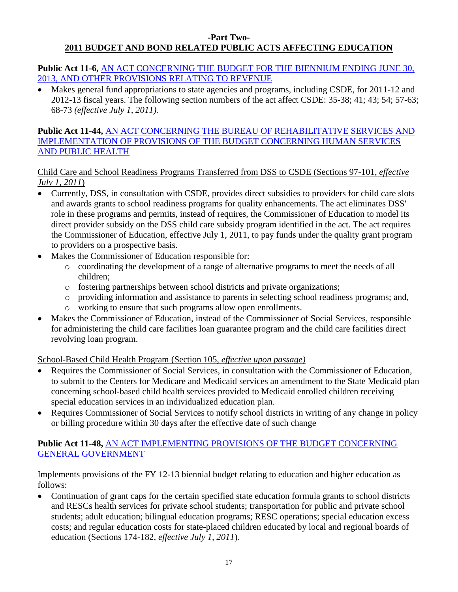#### **-Part Two-2011 BUDGET AND BOND RELATED PUBLIC ACTS AFFECTING EDUCATION**

**Public Act 11-6,** [AN ACT CONCERNING THE BUDGET FOR THE BIENNIUM ENDING JUNE 30,](http://www.cga.ct.gov/2011/ACT/Pa/pdf/2011PA-00006-R00SB-01239-PA.pdf)  [2013, AND OTHER PROVISIONS RELATING TO REVENUE](http://www.cga.ct.gov/2011/ACT/Pa/pdf/2011PA-00006-R00SB-01239-PA.pdf)

• Makes general fund appropriations to state agencies and programs, including CSDE, for 2011-12 and 2012-13 fiscal years. The following section numbers of the act affect CSDE: 35-38; 41; 43; 54; 57-63; 68-73 *(effective July 1, 2011).*

## **Public Act 11-44,** [AN ACT CONCERNING THE BUREAU OF REHABILITATIVE SERVICES AND](http://www.cga.ct.gov/2011/ACT/Pa/pdf/2011PA-00044-R00SB-01240-PA.pdf)  [IMPLEMENTATION OF PROVISIONS OF THE BUDGET CONCERNING HUMAN SERVICES](http://www.cga.ct.gov/2011/ACT/Pa/pdf/2011PA-00044-R00SB-01240-PA.pdf)  [AND PUBLIC HEALTH](http://www.cga.ct.gov/2011/ACT/Pa/pdf/2011PA-00044-R00SB-01240-PA.pdf)

## Child Care and School Readiness Programs Transferred from DSS to CSDE (Sections 97-101, *effective July 1, 2011*)

- Currently, DSS, in consultation with CSDE, provides direct subsidies to providers for child care slots and awards grants to school readiness programs for quality enhancements. The act eliminates DSS' role in these programs and permits, instead of requires, the Commissioner of Education to model its direct provider subsidy on the DSS child care subsidy program identified in the act. The act requires the Commissioner of Education, effective July 1, 2011, to pay funds under the quality grant program to providers on a prospective basis.
- Makes the Commissioner of Education responsible for:
	- o coordinating the development of a range of alternative programs to meet the needs of all children;
	- o fostering partnerships between school districts and private organizations;
	- o providing information and assistance to parents in selecting school readiness programs; and,
	- o working to ensure that such programs allow open enrollments.
- Makes the Commissioner of Education, instead of the Commissioner of Social Services, responsible for administering the child care facilities loan guarantee program and the child care facilities direct revolving loan program.

## School-Based Child Health Program (Section 105, *effective upon passage)*

- Requires the Commissioner of Social Services, in consultation with the Commissioner of Education, to submit to the Centers for Medicare and Medicaid services an amendment to the State Medicaid plan concerning school-based child health services provided to Medicaid enrolled children receiving special education services in an individualized education plan.
- Requires Commissioner of Social Services to notify school districts in writing of any change in policy or billing procedure within 30 days after the effective date of such change

## **Public Act 11-48,** [AN ACT IMPLEMENTING PROVISIONS OF THE BUDGET CONCERNING](http://www.cga.ct.gov/2011/ACT/Pa/pdf/2011PA-00048-R00HB-06651-PA.pdf)  [GENERAL GOVERNMENT](http://www.cga.ct.gov/2011/ACT/Pa/pdf/2011PA-00048-R00HB-06651-PA.pdf)

Implements provisions of the FY 12-13 biennial budget relating to education and higher education as follows:

 Continuation of grant caps for the certain specified state education formula grants to school districts and RESCs health services for private school students; transportation for public and private school students; adult education; bilingual education programs; RESC operations; special education excess costs; and regular education costs for state-placed children educated by local and regional boards of education (Sections 174-182, *effective July 1, 2011*).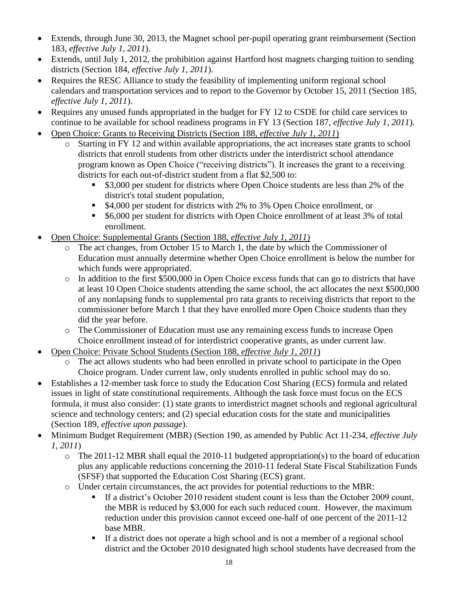- Extends, through June 30, 2013, the Magnet school per-pupil operating grant reimbursement (Section 183, *effective July 1, 2011*).
- Extends, until July 1, 2012, the prohibition against Hartford host magnets charging tuition to sending districts (Section 184, *effective July 1, 2011*).
- Requires the RESC Alliance to study the feasibility of implementing uniform regional school calendars and transportation services and to report to the Governor by October 15, 2011 (Section 185, *effective July 1, 2011*).
- Requires any unused funds appropriated in the budget for FY 12 to CSDE for child care services to continue to be available for school readiness programs in FY 13 (Section 187, *effective July 1, 2011*).
- Open Choice: Grants to Receiving Districts (Section 188, *effective July 1, 2011*)
	- o Starting in FY 12 and within available appropriations, the act increases state grants to school districts that enroll students from other districts under the interdistrict school attendance program known as Open Choice ("receiving districts"). It increases the grant to a receiving districts for each out-of-district student from a flat \$2,500 to:
		- **53,000 per student for districts where Open Choice students are less than 2% of the** district's total student population,
		- \$4,000 per student for districts with 2% to 3% Open Choice enrollment, or
		- **56,000 per student for districts with Open Choice enrollment of at least 3% of total** enrollment.
- Open Choice: Supplemental Grants (Section 188, *effective July 1, 2011*)
	- o The act changes, from October 15 to March 1, the date by which the Commissioner of Education must annually determine whether Open Choice enrollment is below the number for which funds were appropriated.
	- o In addition to the first \$500,000 in Open Choice excess funds that can go to districts that have at least 10 Open Choice students attending the same school, the act allocates the next \$500,000 of any nonlapsing funds to supplemental pro rata grants to receiving districts that report to the commissioner before March 1 that they have enrolled more Open Choice students than they did the year before.
	- o The Commissioner of Education must use any remaining excess funds to increase Open Choice enrollment instead of for interdistrict cooperative grants, as under current law.
- Open Choice: Private School Students (Section 188, *effective July 1, 2011*)
	- o The act allows students who had been enrolled in private school to participate in the Open Choice program. Under current law, only students enrolled in public school may do so.
- Establishes a 12-member task force to study the Education Cost Sharing (ECS) formula and related issues in light of state constitutional requirements. Although the task force must focus on the ECS formula, it must also consider: (1) state grants to interdistrict magnet schools and regional agricultural science and technology centers; and (2) special education costs for the state and municipalities (Section 189, *effective upon passage*).
- Minimum Budget Requirement (MBR) (Section 190, as amended by Public Act 11-234, *effective July 1, 2011*)
	- o The 2011-12 MBR shall equal the 2010-11 budgeted appropriation(s) to the board of education plus any applicable reductions concerning the 2010-11 federal State Fiscal Stabilization Funds (SFSF) that supported the Education Cost Sharing (ECS) grant.
	- o Under certain circumstances, the act provides for potential reductions to the MBR:
		- If a district's October 2010 resident student count is less than the October 2009 count, the MBR is reduced by \$3,000 for each such reduced count. However, the maximum reduction under this provision cannot exceed one-half of one percent of the 2011-12 base MBR.
		- If a district does not operate a high school and is not a member of a regional school district and the October 2010 designated high school students have decreased from the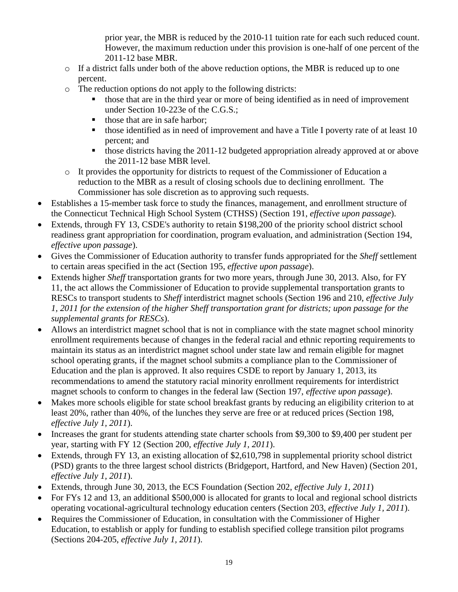prior year, the MBR is reduced by the 2010-11 tuition rate for each such reduced count. However, the maximum reduction under this provision is one-half of one percent of the 2011-12 base MBR.

- $\circ$  If a district falls under both of the above reduction options, the MBR is reduced up to one percent.
- o The reduction options do not apply to the following districts:
	- those that are in the third year or more of being identified as in need of improvement under Section 10-223e of the C.G.S.;
	- those that are in safe harbor;
	- those identified as in need of improvement and have a Title I poverty rate of at least 10 percent; and
	- those districts having the  $2011-12$  budgeted appropriation already approved at or above the 2011-12 base MBR level.
- o It provides the opportunity for districts to request of the Commissioner of Education a reduction to the MBR as a result of closing schools due to declining enrollment. The Commissioner has sole discretion as to approving such requests.
- Establishes a 15-member task force to study the finances, management, and enrollment structure of the Connecticut Technical High School System (CTHSS) (Section 191, *effective upon passage*).
- Extends, through FY 13, CSDE's authority to retain \$198,200 of the priority school district school readiness grant appropriation for coordination, program evaluation, and administration (Section 194, *effective upon passage*).
- Gives the Commissioner of Education authority to transfer funds appropriated for the *Sheff* settlement to certain areas specified in the act (Section 195, *effective upon passage*).
- Extends higher *Sheff* transportation grants for two more years, through June 30, 2013. Also, for FY 11, the act allows the Commissioner of Education to provide supplemental transportation grants to RESCs to transport students to *Sheff* interdistrict magnet schools (Section 196 and 210, *effective July 1, 2011 for the extension of the higher Sheff transportation grant for districts; upon passage for the supplemental grants for RESCs*).
- Allows an interdistrict magnet school that is not in compliance with the state magnet school minority enrollment requirements because of changes in the federal racial and ethnic reporting requirements to maintain its status as an interdistrict magnet school under state law and remain eligible for magnet school operating grants, if the magnet school submits a compliance plan to the Commissioner of Education and the plan is approved. It also requires CSDE to report by January 1, 2013, its recommendations to amend the statutory racial minority enrollment requirements for interdistrict magnet schools to conform to changes in the federal law (Section 197, *effective upon passage*).
- Makes more schools eligible for state school breakfast grants by reducing an eligibility criterion to at least 20%, rather than 40%, of the lunches they serve are free or at reduced prices (Section 198, *effective July 1, 2011*).
- Increases the grant for students attending state charter schools from \$9,300 to \$9,400 per student per year, starting with FY 12 (Section 200, *effective July 1, 2011*).
- Extends, through FY 13, an existing allocation of \$2,610,798 in supplemental priority school district (PSD) grants to the three largest school districts (Bridgeport, Hartford, and New Haven) (Section 201, *effective July 1, 2011*).
- Extends, through June 30, 2013, the ECS Foundation (Section 202, *effective July 1, 2011*)
- For FYs 12 and 13, an additional \$500,000 is allocated for grants to local and regional school districts operating vocational-agricultural technology education centers (Section 203, *effective July 1, 2011*).
- Requires the Commissioner of Education, in consultation with the Commissioner of Higher Education, to establish or apply for funding to establish specified college transition pilot programs (Sections 204-205, *effective July 1, 2011*).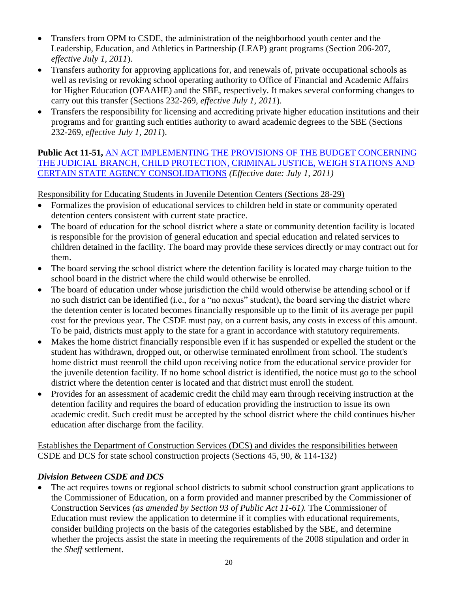- Transfers from OPM to CSDE, the administration of the neighborhood youth center and the Leadership, Education, and Athletics in Partnership (LEAP) grant programs (Section 206-207, *effective July 1, 2011*).
- Transfers authority for approving applications for, and renewals of, private occupational schools as well as revising or revoking school operating authority to Office of Financial and Academic Affairs for Higher Education (OFAAHE) and the SBE, respectively. It makes several conforming changes to carry out this transfer (Sections 232-269, *effective July 1, 2011*).
- Transfers the responsibility for licensing and accrediting private higher education institutions and their programs and for granting such entities authority to award academic degrees to the SBE (Sections 232-269, *effective July 1, 2011*).

## **Public Act 11-51,** [AN ACT IMPLEMENTING THE PROVISIONS OF THE BUDGET CONCERNING](http://www.cga.ct.gov/2011/ACT/Pa/pdf/2011PA-00051-R00HB-06650-PA.pdf)  [THE JUDICIAL BRANCH, CHILD PROTECTION, CRIMINAL JUSTICE, WEIGH STATIONS AND](http://www.cga.ct.gov/2011/ACT/Pa/pdf/2011PA-00051-R00HB-06650-PA.pdf)  [CERTAIN STATE AGENCY CONSOLIDATIONS](http://www.cga.ct.gov/2011/ACT/Pa/pdf/2011PA-00051-R00HB-06650-PA.pdf) *(Effective date: July 1, 2011)*

Responsibility for Educating Students in Juvenile Detention Centers (Sections 28-29)

- Formalizes the provision of educational services to children held in state or community operated detention centers consistent with current state practice.
- The board of education for the school district where a state or community detention facility is located is responsible for the provision of general education and special education and related services to children detained in the facility. The board may provide these services directly or may contract out for them.
- The board serving the school district where the detention facility is located may charge tuition to the school board in the district where the child would otherwise be enrolled.
- The board of education under whose jurisdiction the child would otherwise be attending school or if no such district can be identified (i.e., for a "no nexus" student), the board serving the district where the detention center is located becomes financially responsible up to the limit of its average per pupil cost for the previous year. The CSDE must pay, on a current basis, any costs in excess of this amount. To be paid, districts must apply to the state for a grant in accordance with statutory requirements.
- Makes the home district financially responsible even if it has suspended or expelled the student or the student has withdrawn, dropped out, or otherwise terminated enrollment from school. The student's home district must reenroll the child upon receiving notice from the educational service provider for the juvenile detention facility. If no home school district is identified, the notice must go to the school district where the detention center is located and that district must enroll the student.
- Provides for an assessment of academic credit the child may earn through receiving instruction at the detention facility and requires the board of education providing the instruction to issue its own academic credit. Such credit must be accepted by the school district where the child continues his/her education after discharge from the facility.

Establishes the Department of Construction Services (DCS) and divides the responsibilities between CSDE and DCS for state school construction projects (Sections 45, 90, & 114-132)

# *Division Between CSDE and DCS*

 The act requires towns or regional school districts to submit school construction grant applications to the Commissioner of Education, on a form provided and manner prescribed by the Commissioner of Construction Services *(as amended by Section 93 of Public Act 11-61).* The Commissioner of Education must review the application to determine if it complies with educational requirements, consider building projects on the basis of the categories established by the SBE, and determine whether the projects assist the state in meeting the requirements of the 2008 stipulation and order in the *Sheff* settlement.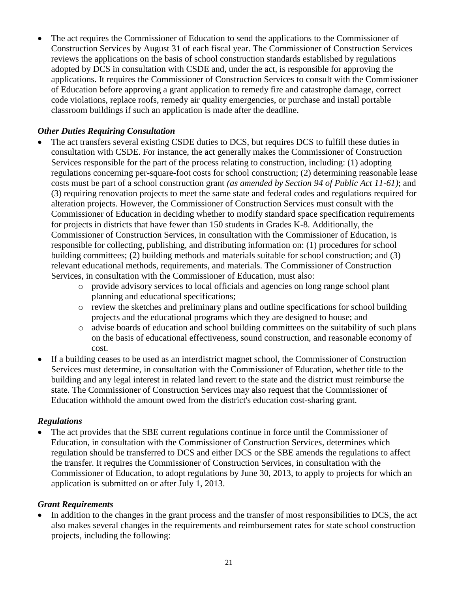The act requires the Commissioner of Education to send the applications to the Commissioner of Construction Services by August 31 of each fiscal year. The Commissioner of Construction Services reviews the applications on the basis of school construction standards established by regulations adopted by DCS in consultation with CSDE and, under the act, is responsible for approving the applications. It requires the Commissioner of Construction Services to consult with the Commissioner of Education before approving a grant application to remedy fire and catastrophe damage, correct code violations, replace roofs, remedy air quality emergencies, or purchase and install portable classroom buildings if such an application is made after the deadline.

## *Other Duties Requiring Consultation*

- The act transfers several existing CSDE duties to DCS, but requires DCS to fulfill these duties in consultation with CSDE. For instance, the act generally makes the Commissioner of Construction Services responsible for the part of the process relating to construction, including: (1) adopting regulations concerning per-square-foot costs for school construction; (2) determining reasonable lease costs must be part of a school construction grant *(as amended by Section 94 of Public Act 11-61)*; and (3) requiring renovation projects to meet the same state and federal codes and regulations required for alteration projects. However, the Commissioner of Construction Services must consult with the Commissioner of Education in deciding whether to modify standard space specification requirements for projects in districts that have fewer than 150 students in Grades K-8. Additionally, the Commissioner of Construction Services, in consultation with the Commissioner of Education, is responsible for collecting, publishing, and distributing information on: (1) procedures for school building committees; (2) building methods and materials suitable for school construction; and (3) relevant educational methods, requirements, and materials. The Commissioner of Construction Services, in consultation with the Commissioner of Education, must also:
	- o provide advisory services to local officials and agencies on long range school plant planning and educational specifications;
	- o review the sketches and preliminary plans and outline specifications for school building projects and the educational programs which they are designed to house; and
	- o advise boards of education and school building committees on the suitability of such plans on the basis of educational effectiveness, sound construction, and reasonable economy of cost.
- If a building ceases to be used as an interdistrict magnet school, the Commissioner of Construction Services must determine, in consultation with the Commissioner of Education, whether title to the building and any legal interest in related land revert to the state and the district must reimburse the state. The Commissioner of Construction Services may also request that the Commissioner of Education withhold the amount owed from the district's education cost-sharing grant.

### *Regulations*

 The act provides that the SBE current regulations continue in force until the Commissioner of Education, in consultation with the Commissioner of Construction Services, determines which regulation should be transferred to DCS and either DCS or the SBE amends the regulations to affect the transfer. It requires the Commissioner of Construction Services, in consultation with the Commissioner of Education, to adopt regulations by June 30, 2013, to apply to projects for which an application is submitted on or after July 1, 2013.

## *Grant Requirements*

• In addition to the changes in the grant process and the transfer of most responsibilities to DCS, the act also makes several changes in the requirements and reimbursement rates for state school construction projects, including the following: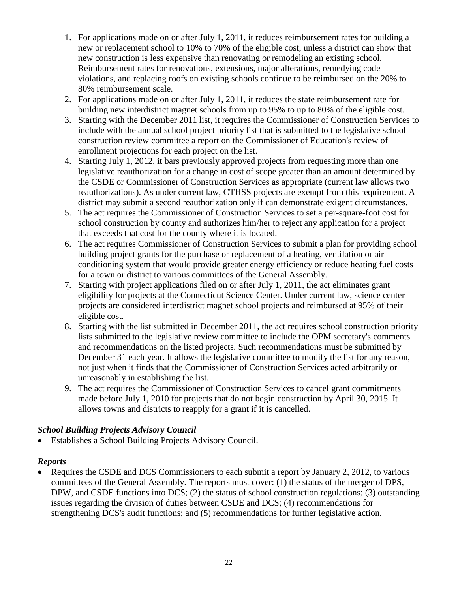- 1. For applications made on or after July 1, 2011, it reduces reimbursement rates for building a new or replacement school to 10% to 70% of the eligible cost, unless a district can show that new construction is less expensive than renovating or remodeling an existing school. Reimbursement rates for renovations, extensions, major alterations, remedying code violations, and replacing roofs on existing schools continue to be reimbursed on the 20% to 80% reimbursement scale.
- 2. For applications made on or after July 1, 2011, it reduces the state reimbursement rate for building new interdistrict magnet schools from up to 95% to up to 80% of the eligible cost.
- 3. Starting with the December 2011 list, it requires the Commissioner of Construction Services to include with the annual school project priority list that is submitted to the legislative school construction review committee a report on the Commissioner of Education's review of enrollment projections for each project on the list.
- 4. Starting July 1, 2012, it bars previously approved projects from requesting more than one legislative reauthorization for a change in cost of scope greater than an amount determined by the CSDE or Commissioner of Construction Services as appropriate (current law allows two reauthorizations). As under current law, CTHSS projects are exempt from this requirement. A district may submit a second reauthorization only if can demonstrate exigent circumstances.
- 5. The act requires the Commissioner of Construction Services to set a per-square-foot cost for school construction by county and authorizes him/her to reject any application for a project that exceeds that cost for the county where it is located.
- 6. The act requires Commissioner of Construction Services to submit a plan for providing school building project grants for the purchase or replacement of a heating, ventilation or air conditioning system that would provide greater energy efficiency or reduce heating fuel costs for a town or district to various committees of the General Assembly.
- 7. Starting with project applications filed on or after July 1, 2011, the act eliminates grant eligibility for projects at the Connecticut Science Center. Under current law, science center projects are considered interdistrict magnet school projects and reimbursed at 95% of their eligible cost.
- 8. Starting with the list submitted in December 2011, the act requires school construction priority lists submitted to the legislative review committee to include the OPM secretary's comments and recommendations on the listed projects. Such recommendations must be submitted by December 31 each year. It allows the legislative committee to modify the list for any reason, not just when it finds that the Commissioner of Construction Services acted arbitrarily or unreasonably in establishing the list.
- 9. The act requires the Commissioner of Construction Services to cancel grant commitments made before July 1, 2010 for projects that do not begin construction by April 30, 2015. It allows towns and districts to reapply for a grant if it is cancelled.

## *School Building Projects Advisory Council*

Establishes a School Building Projects Advisory Council.

### *Reports*

 Requires the CSDE and DCS Commissioners to each submit a report by January 2, 2012, to various committees of the General Assembly. The reports must cover: (1) the status of the merger of DPS, DPW, and CSDE functions into DCS; (2) the status of school construction regulations; (3) outstanding issues regarding the division of duties between CSDE and DCS; (4) recommendations for strengthening DCS's audit functions; and (5) recommendations for further legislative action.